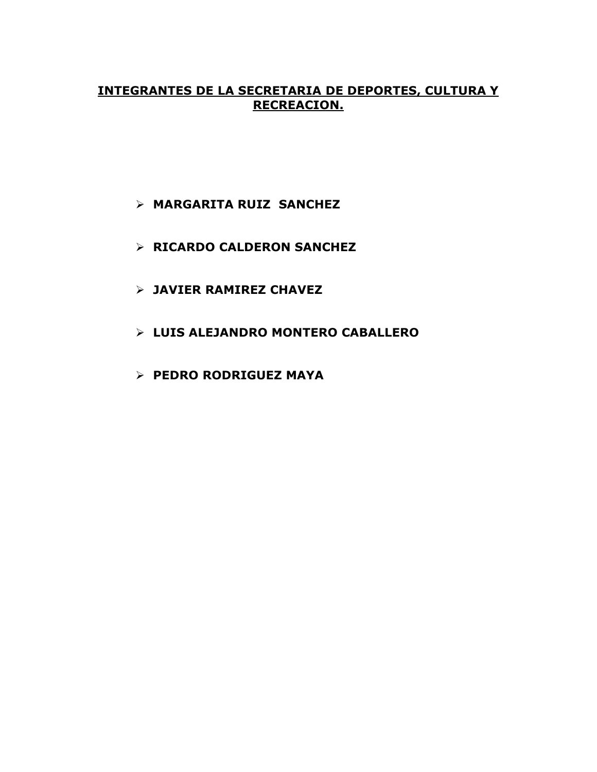### **INTEGRANTES DE LA SECRETARIA DE DEPORTES, CULTURA Y RECREACION.**

- **MARGARITA RUIZ SANCHEZ**
- **RICARDO CALDERON SANCHEZ**
- **JAVIER RAMIREZ CHAVEZ**
- **LUIS ALEJANDRO MONTERO CABALLERO**
- **PEDRO RODRIGUEZ MAYA**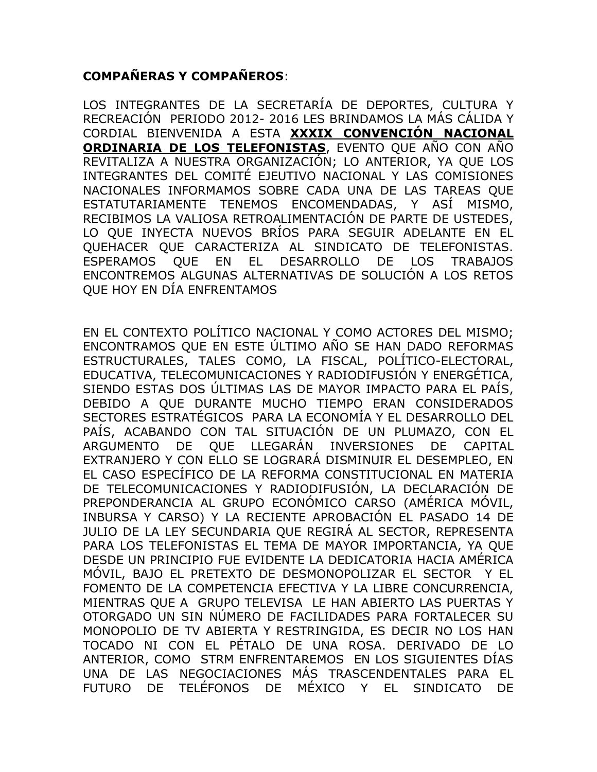# **COMPAÑERAS Y COMPAÑEROS**:

LOS INTEGRANTES DE LA SECRETARÍA DE DEPORTES, CULTURA Y RECREACIÓN PERIODO 2012- 2016 LES BRINDAMOS LA MÁS CÁLIDA Y CORDIAL BIENVENIDA A ESTA **XXXIX CONVENCIÓN NACIONAL ORDINARIA DE LOS TELEFONISTAS**, EVENTO QUE AÑO CON AÑO REVITALIZA A NUESTRA ORGANIZACIÓN; LO ANTERIOR, YA QUE LOS INTEGRANTES DEL COMITÉ EJEUTIVO NACIONAL Y LAS COMISIONES NACIONALES INFORMAMOS SOBRE CADA UNA DE LAS TAREAS QUE ESTATUTARIAMENTE TENEMOS ENCOMENDADAS, Y ASÍ MISMO, RECIBIMOS LA VALIOSA RETROALIMENTACIÓN DE PARTE DE USTEDES, LO QUE INYECTA NUEVOS BRÍOS PARA SEGUIR ADELANTE EN EL QUEHACER QUE CARACTERIZA AL SINDICATO DE TELEFONISTAS. ESPERAMOS QUE EN EL DESARROLLO DE LOS TRABAJOS ENCONTREMOS ALGUNAS ALTERNATIVAS DE SOLUCIÓN A LOS RETOS QUE HOY EN DÍA ENFRENTAMOS

EN EL CONTEXTO POLÍTICO NACIONAL Y COMO ACTORES DEL MISMO; ENCONTRAMOS QUE EN ESTE ÚLTIMO AÑO SE HAN DADO REFORMAS ESTRUCTURALES, TALES COMO, LA FISCAL, POLÍTICO-ELECTORAL, EDUCATIVA, TELECOMUNICACIONES Y RADIODIFUSIÓN Y ENERGÉTICA, SIENDO ESTAS DOS ÚLTIMAS LAS DE MAYOR IMPACTO PARA EL PAÍS, DEBIDO A QUE DURANTE MUCHO TIEMPO ERAN CONSIDERADOS SECTORES ESTRATÉGICOS PARA LA ECONOMÍA Y EL DESARROLLO DEL PAÍS, ACABANDO CON TAL SITUACIÓN DE UN PLUMAZO, CON EL ARGUMENTO DE QUE LLEGARÁN INVERSIONES DE CAPITAL EXTRANJERO Y CON ELLO SE LOGRARÁ DISMINUIR EL DESEMPLEO, EN EL CASO ESPECÍFICO DE LA REFORMA CONSTITUCIONAL EN MATERIA DE TELECOMUNICACIONES Y RADIODIFUSIÓN, LA DECLARACIÓN DE PREPONDERANCIA AL GRUPO ECONÓMICO CARSO (AMÉRICA MÓVIL, INBURSA Y CARSO) Y LA RECIENTE APROBACIÓN EL PASADO 14 DE JULIO DE LA LEY SECUNDARIA QUE REGIRÁ AL SECTOR, REPRESENTA PARA LOS TELEFONISTAS EL TEMA DE MAYOR IMPORTANCIA, YA QUE DESDE UN PRINCIPIO FUE EVIDENTE LA DEDICATORIA HACIA AMÉRICA MÓVIL, BAJO EL PRETEXTO DE DESMONOPOLIZAR EL SECTOR Y EL FOMENTO DE LA COMPETENCIA EFECTIVA Y LA LIBRE CONCURRENCIA, MIENTRAS QUE A GRUPO TELEVISA LE HAN ABIERTO LAS PUERTAS Y OTORGADO UN SIN NÚMERO DE FACILIDADES PARA FORTALECER SU MONOPOLIO DE TV ABIERTA Y RESTRINGIDA, ES DECIR NO LOS HAN TOCADO NI CON EL PÉTALO DE UNA ROSA. DERIVADO DE LO ANTERIOR, COMO STRM ENFRENTAREMOS EN LOS SIGUIENTES DÍAS UNA DE LAS NEGOCIACIONES MÁS TRASCENDENTALES PARA EL FUTURO DE TELÉFONOS DE MÉXICO Y EL SINDICATO DE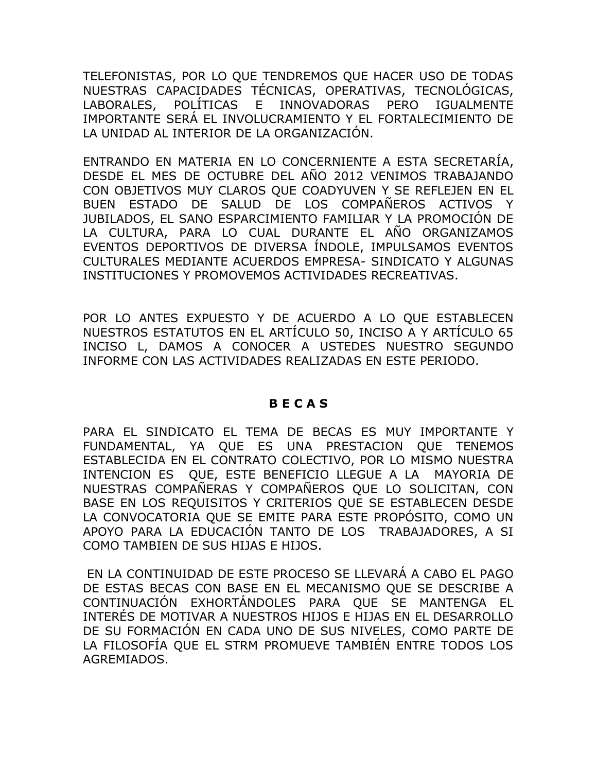TELEFONISTAS, POR LO QUE TENDREMOS QUE HACER USO DE TODAS NUESTRAS CAPACIDADES TÉCNICAS, OPERATIVAS, TECNOLÓGICAS, LABORALES, POLÍTICAS E INNOVADORAS PERO IGUALMENTE IMPORTANTE SERÁ EL INVOLUCRAMIENTO Y EL FORTALECIMIENTO DE LA UNIDAD AL INTERIOR DE LA ORGANIZACIÓN.

ENTRANDO EN MATERIA EN LO CONCERNIENTE A ESTA SECRETARÍA, DESDE EL MES DE OCTUBRE DEL AÑO 2012 VENIMOS TRABAJANDO CON OBJETIVOS MUY CLAROS QUE COADYUVEN Y SE REFLEJEN EN EL BUEN ESTADO DE SALUD DE LOS COMPAÑEROS ACTIVOS Y JUBILADOS, EL SANO ESPARCIMIENTO FAMILIAR Y LA PROMOCIÓN DE LA CULTURA, PARA LO CUAL DURANTE EL AÑO ORGANIZAMOS EVENTOS DEPORTIVOS DE DIVERSA ÍNDOLE, IMPULSAMOS EVENTOS CULTURALES MEDIANTE ACUERDOS EMPRESA- SINDICATO Y ALGUNAS INSTITUCIONES Y PROMOVEMOS ACTIVIDADES RECREATIVAS.

POR LO ANTES EXPUESTO Y DE ACUERDO A LO QUE ESTABLECEN NUESTROS ESTATUTOS EN EL ARTÍCULO 50, INCISO A Y ARTÍCULO 65 INCISO L, DAMOS A CONOCER A USTEDES NUESTRO SEGUNDO INFORME CON LAS ACTIVIDADES REALIZADAS EN ESTE PERIODO.

#### **B E C A S**

PARA EL SINDICATO EL TEMA DE BECAS ES MUY IMPORTANTE Y FUNDAMENTAL, YA QUE ES UNA PRESTACION QUE TENEMOS ESTABLECIDA EN EL CONTRATO COLECTIVO, POR LO MISMO NUESTRA INTENCION ES QUE, ESTE BENEFICIO LLEGUE A LA MAYORIA DE NUESTRAS COMPAÑERAS Y COMPAÑEROS QUE LO SOLICITAN, CON BASE EN LOS REQUISITOS Y CRITERIOS QUE SE ESTABLECEN DESDE LA CONVOCATORIA QUE SE EMITE PARA ESTE PROPÓSITO, COMO UN APOYO PARA LA EDUCACIÓN TANTO DE LOS TRABAJADORES, A SI COMO TAMBIEN DE SUS HIJAS E HIJOS.

EN LA CONTINUIDAD DE ESTE PROCESO SE LLEVARÁ A CABO EL PAGO DE ESTAS BECAS CON BASE EN EL MECANISMO QUE SE DESCRIBE A CONTINUACIÓN EXHORTÁNDOLES PARA QUE SE MANTENGA EL INTERÉS DE MOTIVAR A NUESTROS HIJOS E HIJAS EN EL DESARROLLO DE SU FORMACIÓN EN CADA UNO DE SUS NIVELES, COMO PARTE DE LA FILOSOFÍA QUE EL STRM PROMUEVE TAMBIÉN ENTRE TODOS LOS AGREMIADOS.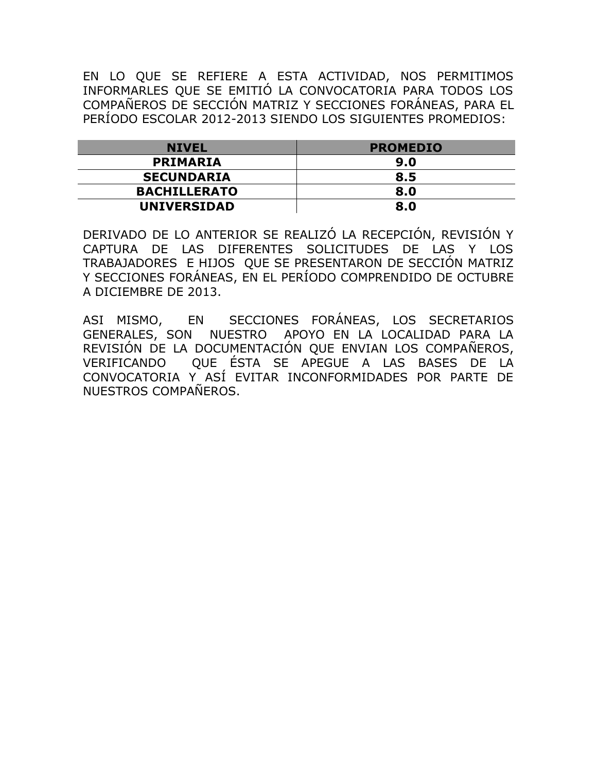EN LO QUE SE REFIERE A ESTA ACTIVIDAD, NOS PERMITIMOS INFORMARLES QUE SE EMITIÓ LA CONVOCATORIA PARA TODOS LOS COMPAÑEROS DE SECCIÓN MATRIZ Y SECCIONES FORÁNEAS, PARA EL PERÍODO ESCOLAR 2012-2013 SIENDO LOS SIGUIENTES PROMEDIOS:

| <b>NIVEL</b>        | <b>PROMEDIO</b> |
|---------------------|-----------------|
| <b>PRIMARIA</b>     | 9.0             |
| <b>SECUNDARIA</b>   | 8.5             |
| <b>BACHILLERATO</b> | 8.0             |
| <b>UNIVERSIDAD</b>  | 8.0             |

DERIVADO DE LO ANTERIOR SE REALIZÓ LA RECEPCIÓN, REVISIÓN Y CAPTURA DE LAS DIFERENTES SOLICITUDES DE LAS Y LOS TRABAJADORES E HIJOS QUE SE PRESENTARON DE SECCIÓN MATRIZ Y SECCIONES FORÁNEAS, EN EL PERÍODO COMPRENDIDO DE OCTUBRE A DICIEMBRE DE 2013.

ASI MISMO, EN SECCIONES FORÁNEAS, LOS SECRETARIOS GENERALES, SON NUESTRO APOYO EN LA LOCALIDAD PARA LA REVISIÓN DE LA DOCUMENTACIÓN QUE ENVIAN LOS COMPAÑEROS, VERIFICANDO QUE ÉSTA SE APEGUE A LAS BASES DE LA CONVOCATORIA Y ASÍ EVITAR INCONFORMIDADES POR PARTE DE NUESTROS COMPAÑEROS.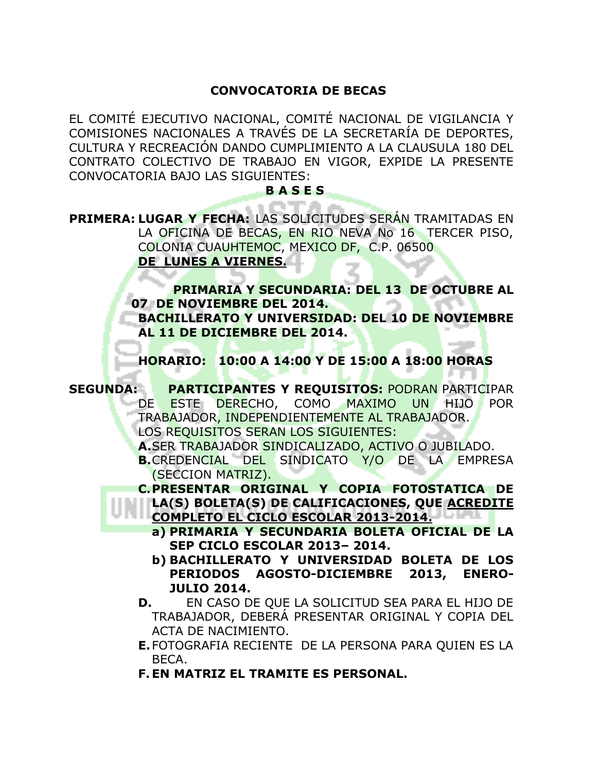### **CONVOCATORIA DE BECAS**

EL COMITÉ EJECUTIVO NACIONAL, COMITÉ NACIONAL DE VIGILANCIA Y COMISIONES NACIONALES A TRAVÉS DE LA SECRETARÍA DE DEPORTES, CULTURA Y RECREACIÓN DANDO CUMPLIMIENTO A LA CLAUSULA 180 DEL CONTRATO COLECTIVO DE TRABAJO EN VIGOR, EXPIDE LA PRESENTE CONVOCATORIA BAJO LAS SIGUIENTES:

#### **B A S E S**

**PRIMERA: LUGAR Y FECHA:** LAS SOLICITUDES SERÁN TRAMITADAS EN LA OFICINA DE BECAS, EN RIO NEVA No 16 TERCER PISO, COLONIA CUAUHTEMOC, MEXICO DF, C.P. 06500 **DE LUNES A VIERNES.**

> **PRIMARIA Y SECUNDARIA: DEL 13 DE OCTUBRE AL 07 DE NOVIEMBRE DEL 2014. BACHILLERATO Y UNIVERSIDAD: DEL 10 DE NOVIEMBRE AL 11 DE DICIEMBRE DEL 2014.**

**HORARIO: 10:00 A 14:00 Y DE 15:00 A 18:00 HORAS**

**SEGUNDA: PARTICIPANTES Y REQUISITOS:** PODRAN PARTICIPAR DE ESTE DERECHO, COMO MAXIMO UN HIJO POR TRABAJADOR, INDEPENDIENTEMENTE AL TRABAJADOR. LOS REQUISITOS SERAN LOS SIGUIENTES: **A.**SER TRABAJADOR SINDICALIZADO, ACTIVO O JUBILADO. **B.**CREDENCIAL DEL SINDICATO Y/O DE LA EMPRESA (SECCION MATRIZ). **C.PRESENTAR ORIGINAL Y COPIA FOTOSTATICA DE LA(S) BOLETA(S) DE CALIFICACIONES, QUE ACREDITE COMPLETO EL CICLO ESCOLAR 2013-2014. LA LILIANA EL CICLO ESCOLAR 2013-2014. a) PRIMARIA Y SECUNDARIA BOLETA OFICIAL DE LA SEP CICLO ESCOLAR 2013– 2014. b) BACHILLERATO Y UNIVERSIDAD BOLETA DE LOS PERIODOS AGOSTO-DICIEMBRE 2013, ENERO-JULIO 2014. D.** EN CASO DE QUE LA SOLICITUD SEA PARA EL HIJO DE TRABAJADOR, DEBERÁ PRESENTAR ORIGINAL Y COPIA DEL ACTA DE NACIMIENTO. **E.**FOTOGRAFIA RECIENTE DE LA PERSONA PARA QUIEN ES LA BECA.

**F. EN MATRIZ EL TRAMITE ES PERSONAL.**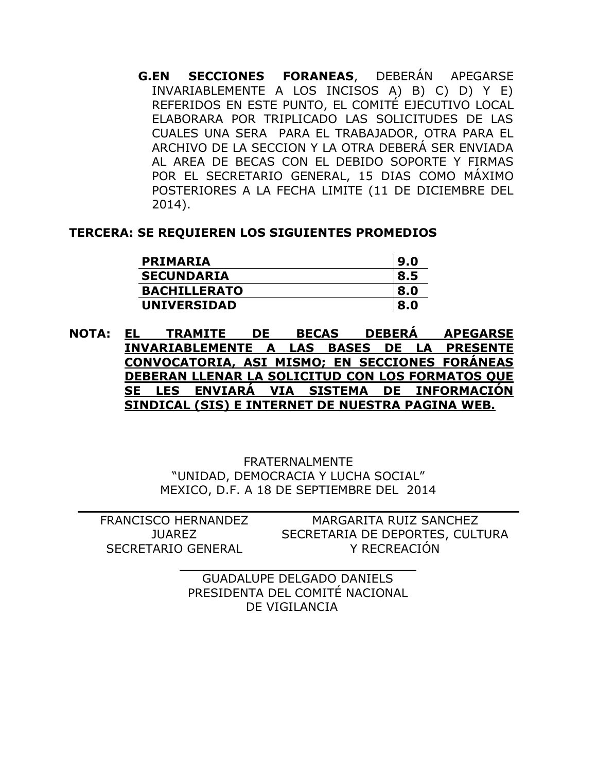**G.EN SECCIONES FORANEAS**, DEBERÁN APEGARSE INVARIABLEMENTE A LOS INCISOS A) B) C) D) Y E) REFERIDOS EN ESTE PUNTO, EL COMITÉ EJECUTIVO LOCAL ELABORARA POR TRIPLICADO LAS SOLICITUDES DE LAS CUALES UNA SERA PARA EL TRABAJADOR, OTRA PARA EL ARCHIVO DE LA SECCION Y LA OTRA DEBERÁ SER ENVIADA AL AREA DE BECAS CON EL DEBIDO SOPORTE Y FIRMAS POR EL SECRETARIO GENERAL, 15 DIAS COMO MÁXIMO POSTERIORES A LA FECHA LIMITE (11 DE DICIEMBRE DEL 2014).

### **TERCERA: SE REQUIEREN LOS SIGUIENTES PROMEDIOS**

| <b>PRIMARIA</b>     | 9.0 |
|---------------------|-----|
| <b>SECUNDARIA</b>   | 8.5 |
| <b>BACHILLERATO</b> | 8.0 |
| <b>UNIVERSIDAD</b>  | 8.0 |

**NOTA: EL TRAMITE DE BECAS DEBERÁ APEGARSE INVARIABLEMENTE A LAS BASES DE LA PRESENTE CONVOCATORIA, ASI MISMO; EN SECCIONES FORÁNEAS DEBERAN LLENAR LA SOLICITUD CON LOS FORMATOS QUE SE LES ENVIARÁ VIA SISTEMA DE INFORMACIÓN SINDICAL (SIS) E INTERNET DE NUESTRA PAGINA WEB.**

> FRATERNALMENTE "UNIDAD, DEMOCRACIA Y LUCHA SOCIAL" MEXICO, D.F. A 18 DE SEPTIEMBRE DEL 2014

FRANCISCO HERNANDEZ JUAREZ SECRETARIO GENERAL MARGARITA RUIZ SANCHEZ SECRETARIA DE DEPORTES, CULTURA Y RECREACIÓN

> GUADALUPE DELGADO DANIELS PRESIDENTA DEL COMITÉ NACIONAL DE VIGILANCIA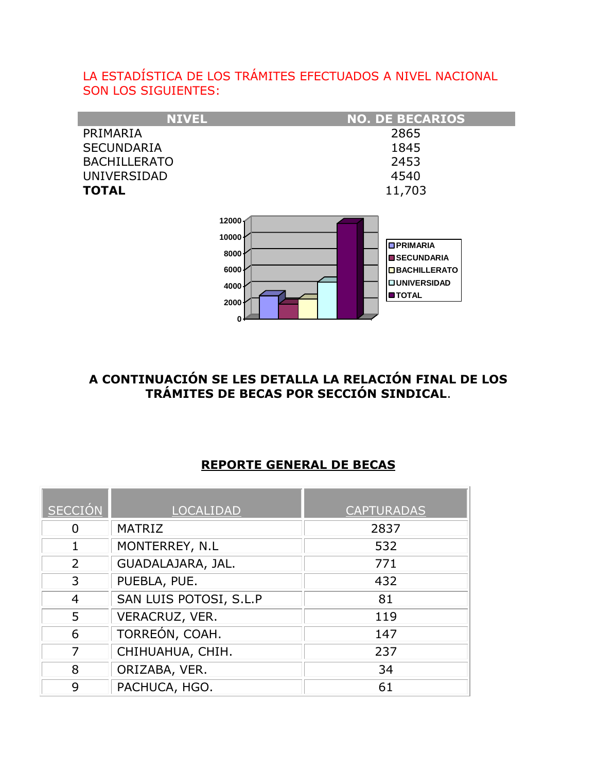# LA ESTADÍSTICA DE LOS TRÁMITES EFECTUADOS A NIVEL NACIONAL SON LOS SIGUIENTES:

| <b>NIVEL</b>        | <b>NO. DE BECARIOS</b>                |
|---------------------|---------------------------------------|
| PRIMARIA            | 2865                                  |
| <b>SECUNDARIA</b>   | 1845                                  |
| <b>BACHILLERATO</b> | 2453                                  |
| <b>UNIVERSIDAD</b>  | 4540                                  |
| <b>TOTAL</b>        | 11,703                                |
|                     |                                       |
| 12000               |                                       |
| 10000               |                                       |
| 8000                | <b>OPRIMARIA</b><br><b>SECUNDARIA</b> |
| 6000                | <b>OBACHILLERATO</b>                  |
| 4000                | <b>OUNIVERSIDAD</b>                   |
|                     | <b>OTOTAL</b>                         |

# **A CONTINUACIÓN SE LES DETALLA LA RELACIÓN FINAL DE LOS TRÁMITES DE BECAS POR SECCIÓN SINDICAL**.

### **REPORTE GENERAL DE BECAS**

| <b>SECCIÓN</b> | <b>LOCALIDAD</b>       | <b>CAPTURADAS</b> |
|----------------|------------------------|-------------------|
| 0              | <b>MATRIZ</b>          | 2837              |
|                | MONTERREY, N.L         | 532               |
| 2              | GUADALAJARA, JAL.      | 771               |
| 3              | PUEBLA, PUE.           | 432               |
| 4              | SAN LUIS POTOSI, S.L.P | 81                |
| 5              | VERACRUZ, VER.         | 119               |
| 6              | TORREÓN, COAH.         | 147               |
| 7              | CHIHUAHUA, CHIH.       | 237               |
| 8              | ORIZABA, VER.          | 34                |
| 9              | PACHUCA, HGO.          | 61                |

**0 2000**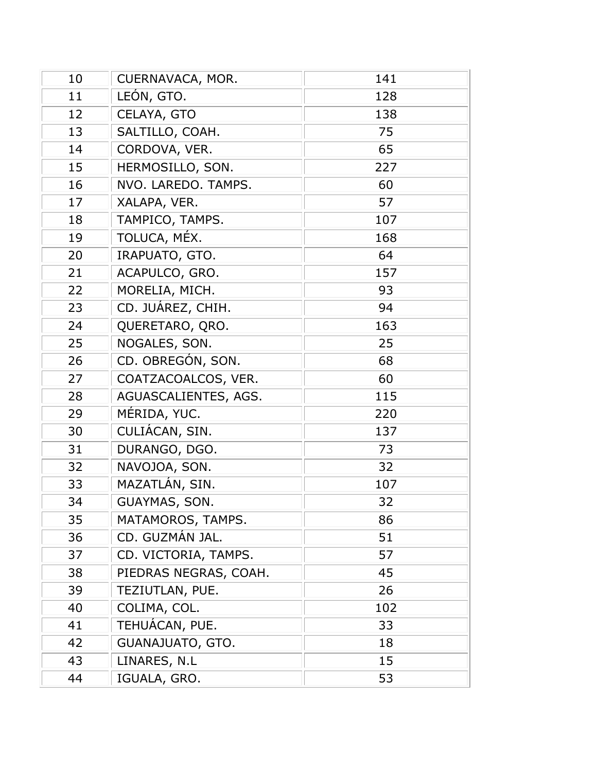| 10 | CUERNAVACA, MOR.      | 141 |
|----|-----------------------|-----|
| 11 | LEÓN, GTO.            | 128 |
| 12 | CELAYA, GTO           | 138 |
| 13 | SALTILLO, COAH.       | 75  |
| 14 | CORDOVA, VER.         | 65  |
| 15 | HERMOSILLO, SON.      | 227 |
| 16 | NVO. LAREDO. TAMPS.   | 60  |
| 17 | XALAPA, VER.          | 57  |
| 18 | TAMPICO, TAMPS.       | 107 |
| 19 | TOLUCA, MÉX.          | 168 |
| 20 | IRAPUATO, GTO.        | 64  |
| 21 | ACAPULCO, GRO.        | 157 |
| 22 | MORELIA, MICH.        | 93  |
| 23 | CD. JUÁREZ, CHIH.     | 94  |
| 24 | QUERETARO, QRO.       | 163 |
| 25 | NOGALES, SON.         | 25  |
| 26 | CD. OBREGÓN, SON.     | 68  |
| 27 | COATZACOALCOS, VER.   | 60  |
| 28 | AGUASCALIENTES, AGS.  | 115 |
| 29 | MÉRIDA, YUC.          | 220 |
| 30 | CULIÁCAN, SIN.        | 137 |
| 31 | DURANGO, DGO.         | 73  |
| 32 | NAVOJOA, SON.         | 32  |
| 33 | MAZATLÁN, SIN.        | 107 |
| 34 | GUAYMAS, SON.         | 32  |
| 35 | MATAMOROS, TAMPS.     | 86  |
| 36 | CD. GUZMÁN JAL.       | 51  |
| 37 | CD. VICTORIA, TAMPS.  | 57  |
| 38 | PIEDRAS NEGRAS, COAH. | 45  |
| 39 | TEZIUTLAN, PUE.       | 26  |
| 40 | COLIMA, COL.          | 102 |
| 41 | TEHUÁCAN, PUE.        | 33  |
| 42 | GUANAJUATO, GTO.      | 18  |
| 43 | LINARES, N.L          | 15  |
| 44 | IGUALA, GRO.          | 53  |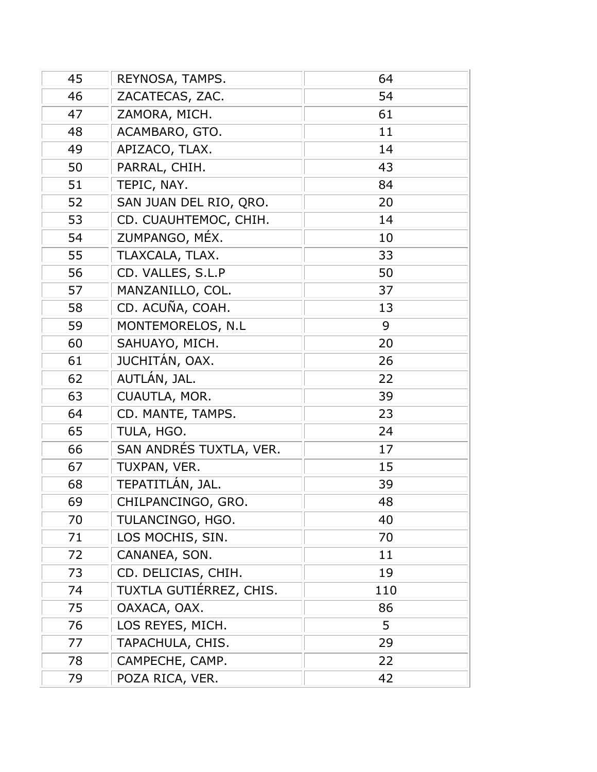| 45 | REYNOSA, TAMPS.         | 64  |
|----|-------------------------|-----|
| 46 | ZACATECAS, ZAC.         | 54  |
| 47 | ZAMORA, MICH.           | 61  |
| 48 | ACAMBARO, GTO.          | 11  |
| 49 | APIZACO, TLAX.          | 14  |
| 50 | PARRAL, CHIH.           | 43  |
| 51 | TEPIC, NAY.             | 84  |
| 52 | SAN JUAN DEL RIO, QRO.  | 20  |
| 53 | CD. CUAUHTEMOC, CHIH.   | 14  |
| 54 | ZUMPANGO, MÉX.          | 10  |
| 55 | TLAXCALA, TLAX.         | 33  |
| 56 | CD. VALLES, S.L.P       | 50  |
| 57 | MANZANILLO, COL.        | 37  |
| 58 | CD. ACUÑA, COAH.        | 13  |
| 59 | MONTEMORELOS, N.L       | 9   |
| 60 | SAHUAYO, MICH.          | 20  |
| 61 | JUCHITÁN, OAX.          | 26  |
| 62 | AUTLÁN, JAL.            | 22  |
| 63 | CUAUTLA, MOR.           | 39  |
| 64 | CD. MANTE, TAMPS.       | 23  |
| 65 | TULA, HGO.              | 24  |
| 66 | SAN ANDRÉS TUXTLA, VER. | 17  |
| 67 | TUXPAN, VER.            | 15  |
| 68 | TEPATITLÁN, JAL.        | 39  |
| 69 | CHILPANCINGO, GRO.      | 48  |
| 70 | TULANCINGO, HGO.        | 40  |
| 71 | LOS MOCHIS, SIN.        | 70  |
| 72 | CANANEA, SON.           | 11  |
| 73 | CD. DELICIAS, CHIH.     | 19  |
| 74 | TUXTLA GUTIÉRREZ, CHIS. | 110 |
| 75 | OAXACA, OAX.            | 86  |
| 76 | LOS REYES, MICH.        | 5   |
| 77 | TAPACHULA, CHIS.        | 29  |
| 78 | CAMPECHE, CAMP.         | 22  |
| 79 | POZA RICA, VER.         | 42  |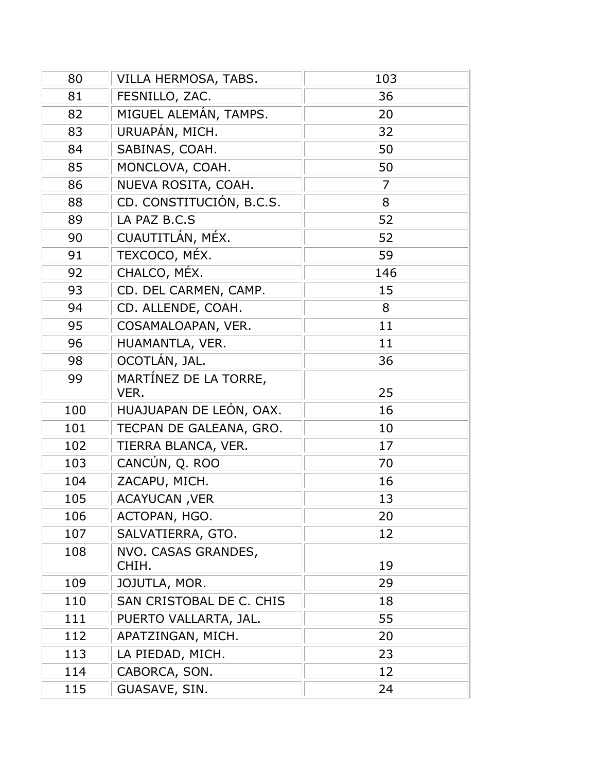| 80  | VILLA HERMOSA, TABS.                      | 103      |
|-----|-------------------------------------------|----------|
| 81  | FESNILLO, ZAC.                            | 36       |
| 82  | MIGUEL ALEMÁN, TAMPS.                     | 20       |
| 83  | URUAPÁN, MICH.                            | 32       |
| 84  | SABINAS, COAH.                            | 50       |
| 85  | MONCLOVA, COAH.                           | 50       |
| 86  | NUEVA ROSITA, COAH.                       | 7        |
| 88  | CD. CONSTITUCIÓN, B.C.S.                  | 8        |
| 89  | LA PAZ B.C.S                              | 52       |
| 90  | CUAUTITLÁN, MÉX.                          | 52       |
| 91  | TEXCOCO, MÉX.                             | 59       |
| 92  | CHALCO, MÉX.                              | 146      |
| 93  | CD. DEL CARMEN, CAMP.                     | 15       |
| 94  | CD. ALLENDE, COAH.                        | 8        |
| 95  | COSAMALOAPAN, VER.                        | 11       |
| 96  | HUAMANTLA, VER.                           | 11       |
| 98  | OCOTLÁN, JAL.                             | 36       |
| 99  | MARTÍNEZ DE LA TORRE,                     |          |
|     | VER.                                      | 25       |
| 100 | HUAJUAPAN DE LEÓN, OAX.                   | 16       |
| 101 | TECPAN DE GALEANA, GRO.                   | 10       |
| 102 | TIERRA BLANCA, VER.                       | 17       |
| 103 | CANCÚN, Q. ROO                            | 70       |
| 104 | ZACAPU, MICH.                             | 16       |
| 105 | <b>ACAYUCAN, VER</b>                      | 13       |
| 106 | ACTOPAN, HGO.                             | 20       |
| 107 | SALVATIERRA, GTO.                         | 12       |
| 108 | NVO. CASAS GRANDES,                       |          |
|     | CHIH.                                     | 19       |
| 109 | JOJUTLA, MOR.<br>SAN CRISTOBAL DE C. CHIS | 29       |
| 110 |                                           | 18<br>55 |
| 111 | PUERTO VALLARTA, JAL.                     |          |
| 112 | APATZINGAN, MICH.                         | 20       |
| 113 | LA PIEDAD, MICH.                          | 23       |
| 114 | CABORCA, SON.                             | 12       |
| 115 | GUASAVE, SIN.                             | 24       |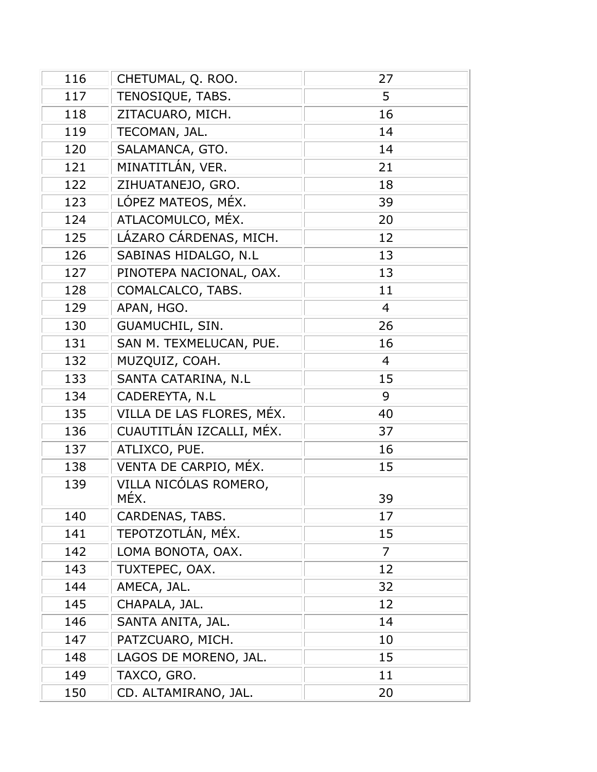| 116 | CHETUMAL, Q. ROO.         | 27             |
|-----|---------------------------|----------------|
| 117 | TENOSIQUE, TABS.          | 5              |
| 118 | ZITACUARO, MICH.          | 16             |
| 119 | TECOMAN, JAL.             | 14             |
| 120 | SALAMANCA, GTO.           | 14             |
| 121 | MINATITLÁN, VER.          | 21             |
| 122 | ZIHUATANEJO, GRO.         | 18             |
| 123 | LÓPEZ MATEOS, MÉX.        | 39             |
| 124 | ATLACOMULCO, MÉX.         | 20             |
| 125 | LÁZARO CÁRDENAS, MICH.    | 12             |
| 126 | SABINAS HIDALGO, N.L      | 13             |
| 127 | PINOTEPA NACIONAL, OAX.   | 13             |
| 128 | COMALCALCO, TABS.         | 11             |
| 129 | APAN, HGO.                | $\overline{4}$ |
| 130 | GUAMUCHIL, SIN.           | 26             |
| 131 | SAN M. TEXMELUCAN, PUE.   | 16             |
| 132 | MUZQUIZ, COAH.            | 4              |
| 133 | SANTA CATARINA, N.L       | 15             |
| 134 | CADEREYTA, N.L            | 9              |
| 135 | VILLA DE LAS FLORES, MÉX. | 40             |
| 136 | CUAUTITLÁN IZCALLI, MÉX.  | 37             |
| 137 | ATLIXCO, PUE.             | 16             |
| 138 | VENTA DE CARPIO, MÉX.     | 15             |
| 139 | VILLA NICÓLAS ROMERO,     |                |
|     | MÉX.                      | 39             |
| 140 | CARDENAS, TABS.           | 17             |
| 141 | TEPOTZOTLÁN, MÉX.         | 15             |
| 142 | LOMA BONOTA, OAX.         | 7              |
| 143 | TUXTEPEC, OAX.            | 12             |
| 144 | AMECA, JAL.               | 32             |
| 145 | CHAPALA, JAL.             | 12             |
| 146 | SANTA ANITA, JAL.         | 14             |
| 147 | PATZCUARO, MICH.          | 10             |
| 148 | LAGOS DE MORENO, JAL.     | 15             |
| 149 | TAXCO, GRO.               | 11             |
| 150 | CD. ALTAMIRANO, JAL.      | 20             |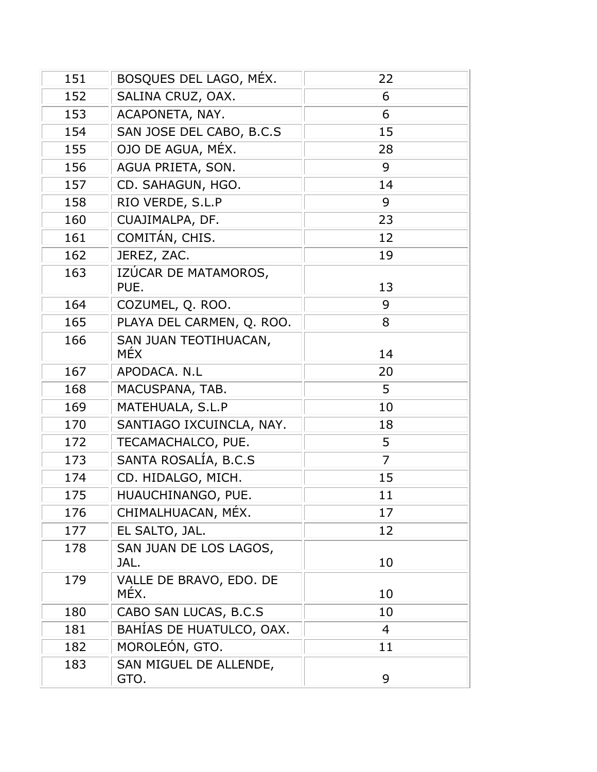| 151 | BOSQUES DEL LAGO, MÉX.          | 22             |
|-----|---------------------------------|----------------|
| 152 | SALINA CRUZ, OAX.               | 6              |
| 153 | ACAPONETA, NAY.                 | 6              |
| 154 | SAN JOSE DEL CABO, B.C.S        | 15             |
| 155 | OJO DE AGUA, MÉX.               | 28             |
| 156 | AGUA PRIETA, SON.               | 9              |
| 157 | CD. SAHAGUN, HGO.               | 14             |
| 158 | RIO VERDE, S.L.P                | 9              |
| 160 | CUAJIMALPA, DF.                 | 23             |
| 161 | COMITÁN, CHIS.                  | 12             |
| 162 | JEREZ, ZAC.                     | 19             |
| 163 | IZÚCAR DE MATAMOROS,<br>PUE.    | 13             |
| 164 | COZUMEL, Q. ROO.                | 9              |
| 165 | PLAYA DEL CARMEN, Q. ROO.       | 8              |
| 166 | SAN JUAN TEOTIHUACAN,<br>MÉX    | 14             |
| 167 | APODACA. N.L                    | 20             |
| 168 | MACUSPANA, TAB.                 | 5              |
| 169 | MATEHUALA, S.L.P                | 10             |
| 170 | SANTIAGO IXCUINCLA, NAY.        | 18             |
| 172 | TECAMACHALCO, PUE.              | 5              |
| 173 | SANTA ROSALÍA, B.C.S            | $\overline{7}$ |
| 174 | CD. HIDALGO, MICH.              | 15             |
| 175 | HUAUCHINANGO, PUE.              | 11             |
| 176 | CHIMALHUACAN, MÉX.              | 17             |
| 177 | EL SALTO, JAL.                  | 12             |
| 178 | SAN JUAN DE LOS LAGOS,<br>JAL.  | 10             |
| 179 | VALLE DE BRAVO, EDO. DE<br>MÉX. | 10             |
| 180 | CABO SAN LUCAS, B.C.S           | 10             |
| 181 | BAHÍAS DE HUATULCO, OAX.        | 4              |
| 182 | MOROLEÓN, GTO.                  | 11             |
| 183 | SAN MIGUEL DE ALLENDE,<br>GTO.  | 9              |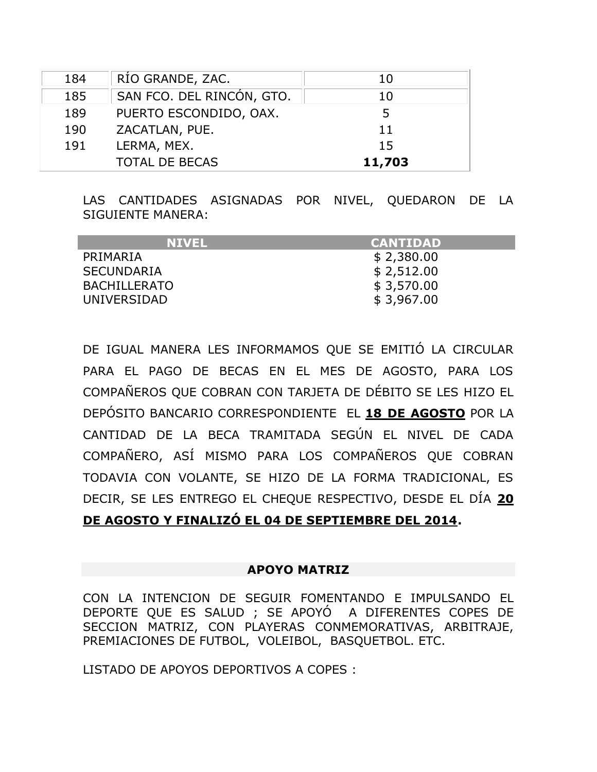| 184 | RÍO GRANDE, ZAC.          | 10     |
|-----|---------------------------|--------|
| 185 | SAN FCO. DEL RINCÓN, GTO. | 10     |
| 189 | PUERTO ESCONDIDO, OAX.    | 5      |
| 190 | ZACATLAN, PUE.            | 11     |
| 191 | LERMA, MEX.               | 15     |
|     | <b>TOTAL DE BECAS</b>     | 11,703 |

LAS CANTIDADES ASIGNADAS POR NIVEL, QUEDARON DE LA SIGUIENTE MANERA:

| <b>NIVEL</b>        | <b>CANTIDAD</b> |
|---------------------|-----------------|
| PRIMARIA            | \$2,380.00      |
| <b>SECUNDARIA</b>   | \$2,512.00      |
| <b>BACHILLERATO</b> | \$3,570.00      |
| UNIVERSIDAD         | \$3,967.00      |

DE IGUAL MANERA LES INFORMAMOS QUE SE EMITIÓ LA CIRCULAR PARA EL PAGO DE BECAS EN EL MES DE AGOSTO, PARA LOS COMPAÑEROS QUE COBRAN CON TARJETA DE DÉBITO SE LES HIZO EL DEPÓSITO BANCARIO CORRESPONDIENTE EL **18 DE AGOSTO** POR LA CANTIDAD DE LA BECA TRAMITADA SEGÚN EL NIVEL DE CADA COMPAÑERO, ASÍ MISMO PARA LOS COMPAÑEROS QUE COBRAN TODAVIA CON VOLANTE, SE HIZO DE LA FORMA TRADICIONAL, ES DECIR, SE LES ENTREGO EL CHEQUE RESPECTIVO, DESDE EL DÍA **20 DE AGOSTO Y FINALIZÓ EL 04 DE SEPTIEMBRE DEL 2014.**

#### **APOYO MATRIZ**

CON LA INTENCION DE SEGUIR FOMENTANDO E IMPULSANDO EL DEPORTE QUE ES SALUD ; SE APOYÓ A DIFERENTES COPES DE SECCION MATRIZ, CON PLAYERAS CONMEMORATIVAS, ARBITRAJE, PREMIACIONES DE FUTBOL, VOLEIBOL, BASQUETBOL. ETC.

LISTADO DE APOYOS DEPORTIVOS A COPES :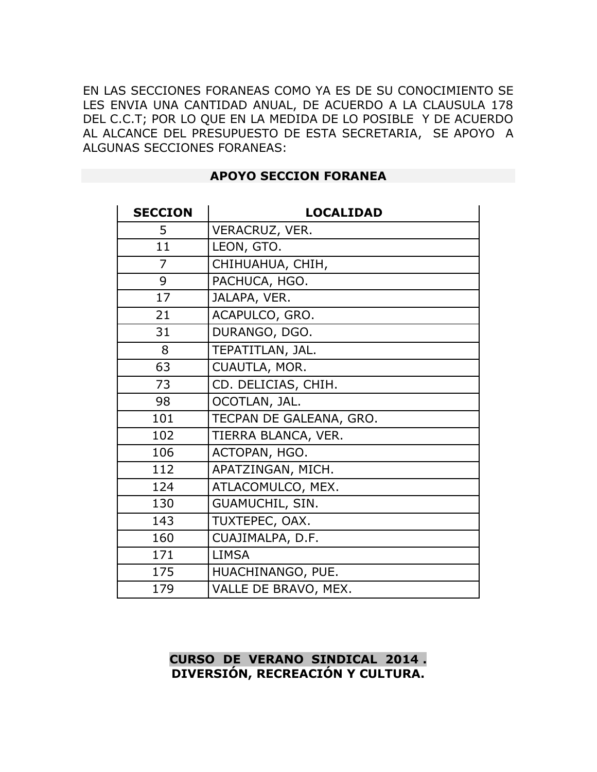EN LAS SECCIONES FORANEAS COMO YA ES DE SU CONOCIMIENTO SE LES ENVIA UNA CANTIDAD ANUAL, DE ACUERDO A LA CLAUSULA 178 DEL C.C.T; POR LO QUE EN LA MEDIDA DE LO POSIBLE Y DE ACUERDO AL ALCANCE DEL PRESUPUESTO DE ESTA SECRETARIA, SE APOYO A ALGUNAS SECCIONES FORANEAS:

| <b>SECCION</b> | <b>LOCALIDAD</b>        |
|----------------|-------------------------|
| 5              | VERACRUZ, VER.          |
| 11             | LEON, GTO.              |
| 7              | CHIHUAHUA, CHIH,        |
| 9              | PACHUCA, HGO.           |
| 17             | JALAPA, VER.            |
| 21             | ACAPULCO, GRO.          |
| 31             | DURANGO, DGO.           |
| 8              | TEPATITLAN, JAL.        |
| 63             | CUAUTLA, MOR.           |
| 73             | CD. DELICIAS, CHIH.     |
| 98             | OCOTLAN, JAL.           |
| 101            | TECPAN DE GALEANA, GRO. |
| 102            | TIERRA BLANCA, VER.     |
| 106            | ACTOPAN, HGO.           |
| 112            | APATZINGAN, MICH.       |
| 124            | ATLACOMULCO, MEX.       |
| 130            | GUAMUCHIL, SIN.         |
| 143            | TUXTEPEC, OAX.          |
| 160            | CUAJIMALPA, D.F.        |
| 171            | <b>LIMSA</b>            |
| 175            | HUACHINANGO, PUE.       |
| 179            | VALLE DE BRAVO, MEX.    |

#### **APOYO SECCION FORANEA**

### **CURSO DE VERANO SINDICAL 2014 . DIVERSIÓN, RECREACIÓN Y CULTURA.**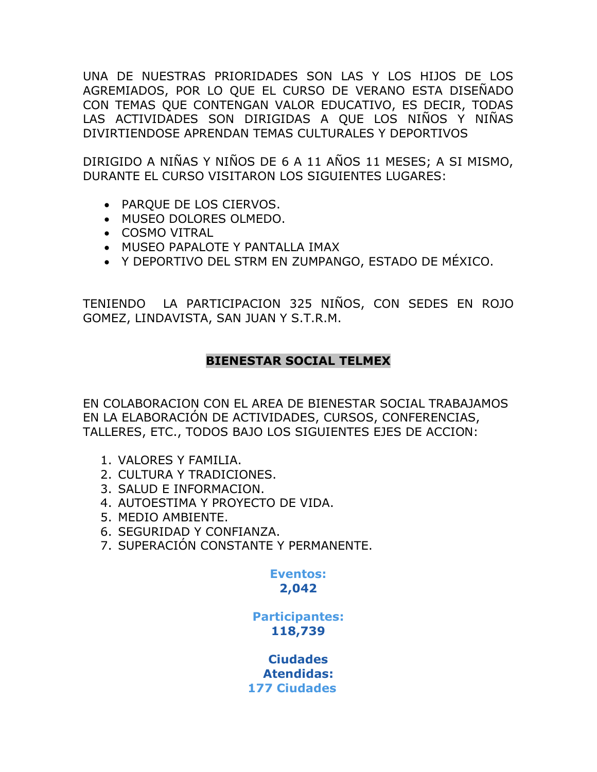UNA DE NUESTRAS PRIORIDADES SON LAS Y LOS HIJOS DE LOS AGREMIADOS, POR LO QUE EL CURSO DE VERANO ESTA DISEÑADO CON TEMAS QUE CONTENGAN VALOR EDUCATIVO, ES DECIR, TODAS LAS ACTIVIDADES SON DIRIGIDAS A QUE LOS NIÑOS Y NIÑAS DIVIRTIENDOSE APRENDAN TEMAS CULTURALES Y DEPORTIVOS

DIRIGIDO A NIÑAS Y NIÑOS DE 6 A 11 AÑOS 11 MESES; A SI MISMO, DURANTE EL CURSO VISITARON LOS SIGUIENTES LUGARES:

- PARQUE DE LOS CIERVOS.
- MUSEO DOLORES OLMEDO.
- COSMO VITRAL
- MUSEO PAPALOTE Y PANTALLA IMAX
- Y DEPORTIVO DEL STRM EN ZUMPANGO, ESTADO DE MÉXICO.

TENIENDO LA PARTICIPACION 325 NIÑOS, CON SEDES EN ROJO GOMEZ, LINDAVISTA, SAN JUAN Y S.T.R.M.

### **BIENESTAR SOCIAL TELMEX**

EN COLABORACION CON EL AREA DE BIENESTAR SOCIAL TRABAJAMOS EN LA ELABORACIÓN DE ACTIVIDADES, CURSOS, CONFERENCIAS, TALLERES, ETC., TODOS BAJO LOS SIGUIENTES EJES DE ACCION:

- 1. VALORES Y FAMILIA.
- 2. CULTURA Y TRADICIONES.
- 3. SALUD E INFORMACION.
- 4. AUTOESTIMA Y PROYECTO DE VIDA.
- 5. MEDIO AMBIENTE.
- 6. SEGURIDAD Y CONFIANZA.
- 7. SUPERACIÓN CONSTANTE Y PERMANENTE.

**Eventos:**

# **2,042**

**Participantes: 118,739**

**Ciudades Atendidas: 177 Ciudades**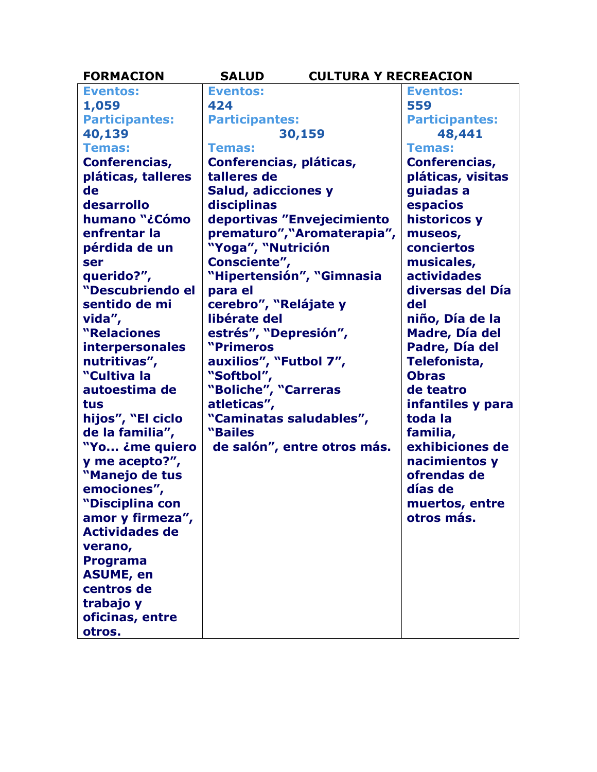| <b>FORMACION</b>       | <b>SALUD</b>                | <b>CULTURA Y RECREACION</b> |
|------------------------|-----------------------------|-----------------------------|
| <b>Eventos:</b>        | <b>Eventos:</b>             | <b>Eventos:</b>             |
| 1,059                  | 424                         | 559                         |
| <b>Participantes:</b>  | <b>Participantes:</b>       | <b>Participantes:</b>       |
| 40,139                 | 30,159                      | 48,441                      |
| <b>Temas:</b>          | <b>Temas:</b>               | <b>Temas:</b>               |
| Conferencias,          | Conferencias, pláticas,     | Conferencias,               |
| pláticas, talleres     | talleres de                 | pláticas, visitas           |
| de                     | <b>Salud, adicciones y</b>  | guiadas a                   |
| desarrollo             | disciplinas                 | espacios                    |
| humano "¿Cómo          | deportivas "Envejecimiento  | historicos y                |
| enfrentar la           | prematuro", "Aromaterapia", | museos,                     |
| pérdida de un          | "Yoga", "Nutrición          | conciertos                  |
| ser                    | Consciente",                | musicales,                  |
| querido?",             | "Hipertensión", "Gimnasia   | <b>actividades</b>          |
| "Descubriendo el       | para el                     | diversas del Día            |
| sentido de mi          | cerebro", "Relájate y       | del                         |
| vida",                 | libérate del                | niño, Día de la             |
| "Relaciones            | estrés", "Depresión",       | Madre, Día del              |
| <b>interpersonales</b> | "Primeros                   | Padre, Día del              |
| nutritivas",           | auxilios", "Futbol 7",      | Telefonista,                |
| "Cultiva la            | "Softbol",                  | <b>Obras</b>                |
| autoestima de          | "Boliche", "Carreras        | de teatro                   |
| tus                    | atleticas",                 | infantiles y para           |
| hijos", "El ciclo      | "Caminatas saludables",     | toda la                     |
| de la familia",        | "Bailes                     | familia,                    |
| "Yo ¿me quiero         | de salón", entre otros más. | exhibiciones de             |
| y me acepto?",         |                             | nacimientos y               |
| "Manejo de tus         |                             | ofrendas de                 |
| emociones",            |                             | días de                     |
| "Disciplina con        |                             | muertos, entre              |
| amor y firmeza",       |                             | otros más.                  |
| <b>Actividades de</b>  |                             |                             |
| verano,                |                             |                             |
| <b>Programa</b>        |                             |                             |
| <b>ASUME, en</b>       |                             |                             |
| centros de             |                             |                             |
| trabajo y              |                             |                             |
| oficinas, entre        |                             |                             |
| otros.                 |                             |                             |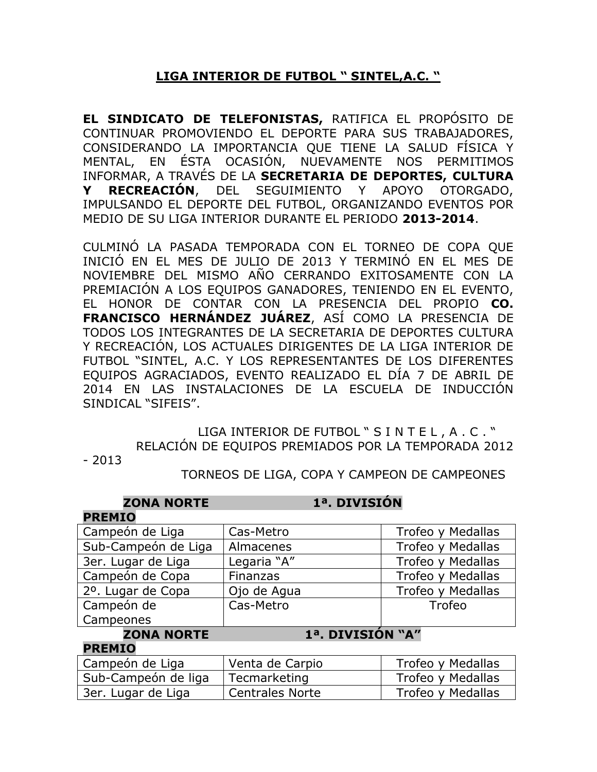# **LIGA INTERIOR DE FUTBOL " SINTEL,A.C. "**

**EL SINDICATO DE TELEFONISTAS,** RATIFICA EL PROPÓSITO DE CONTINUAR PROMOVIENDO EL DEPORTE PARA SUS TRABAJADORES, CONSIDERANDO LA IMPORTANCIA QUE TIENE LA SALUD FÍSICA Y MENTAL, EN ÉSTA OCASIÓN, NUEVAMENTE NOS PERMITIMOS INFORMAR, A TRAVÉS DE LA **SECRETARIA DE DEPORTES, CULTURA Y RECREACIÓN**, DEL SEGUIMIENTO Y APOYO OTORGADO, IMPULSANDO EL DEPORTE DEL FUTBOL, ORGANIZANDO EVENTOS POR MEDIO DE SU LIGA INTERIOR DURANTE EL PERIODO **2013-2014**.

CULMINÓ LA PASADA TEMPORADA CON EL TORNEO DE COPA QUE INICIÓ EN EL MES DE JULIO DE 2013 Y TERMINÓ EN EL MES DE NOVIEMBRE DEL MISMO AÑO CERRANDO EXITOSAMENTE CON LA PREMIACIÓN A LOS EQUIPOS GANADORES, TENIENDO EN EL EVENTO, EL HONOR DE CONTAR CON LA PRESENCIA DEL PROPIO **CO. FRANCISCO HERNÁNDEZ JUÁREZ**, ASÍ COMO LA PRESENCIA DE TODOS LOS INTEGRANTES DE LA SECRETARIA DE DEPORTES CULTURA Y RECREACIÓN, LOS ACTUALES DIRIGENTES DE LA LIGA INTERIOR DE FUTBOL "SINTEL, A.C. Y LOS REPRESENTANTES DE LOS DIFERENTES EQUIPOS AGRACIADOS, EVENTO REALIZADO EL DÍA 7 DE ABRIL DE 2014 EN LAS INSTALACIONES DE LA ESCUELA DE INDUCCIÓN SINDICAL "SIFEIS".

> LIGA INTERIOR DE FUTBOL " S I N T E L, A . C . " RELACIÓN DE EQUIPOS PREMIADOS POR LA TEMPORADA 2012

- 2013

TORNEOS DE LIGA, COPA Y CAMPEON DE CAMPEONES

| <b>ZONA NORTE</b>   | 1ª. DIVISIÓN     |                   |
|---------------------|------------------|-------------------|
| <b>PREMIO</b>       |                  |                   |
| Campeón de Liga     | Cas-Metro        | Trofeo y Medallas |
| Sub-Campeón de Liga | Almacenes        | Trofeo y Medallas |
| 3er. Lugar de Liga  | Legaria "A"      | Trofeo y Medallas |
| Campeón de Copa     | Finanzas         | Trofeo y Medallas |
| 2º. Lugar de Copa   | Ojo de Agua      | Trofeo y Medallas |
| Campeón de          | Cas-Metro        | Trofeo            |
| Campeones           |                  |                   |
| <b>ZONA NORTE</b>   | 1ª. DIVISIÓN "A" |                   |
| <b>PREMIO</b>       |                  |                   |
| Campeón de Liga     | Venta de Carpio  | Trofeo y Medallas |

Sub-Campeón de liga | Tecmarketing | Trofeo y Medallas 3er. Lugar de Liga | Centrales Norte | Trofeo y Medallas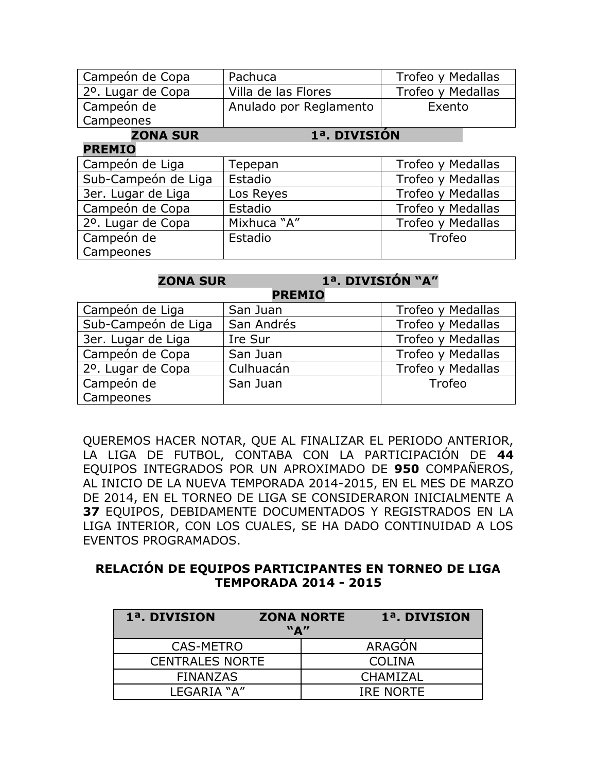| Campeón de Copa     | Pachuca                | Trofeo y Medallas |
|---------------------|------------------------|-------------------|
| 2º. Lugar de Copa   | Villa de las Flores    | Trofeo y Medallas |
| Campeón de          | Anulado por Reglamento | Exento            |
| Campeones           |                        |                   |
| <b>ZONA SUR</b>     | 1ª. DIVISIÓN           |                   |
| <b>PREMIO</b>       |                        |                   |
| Campeón de Liga     | Tepepan                | Trofeo y Medallas |
| Sub-Campeón de Liga | Estadio                | Trofeo y Medallas |
| 3er. Lugar de Liga  | Los Reyes              | Trofeo y Medallas |
| Campeón de Copa     | Estadio                | Trofeo y Medallas |
| 2º. Lugar de Copa   | Mixhuca "A"            | Trofeo y Medallas |
| Campeón de          | Estadio                | Trofeo            |
| Campeones           |                        |                   |

# **ZONA SUR 1ª. DIVISIÓN "A"**

| <b>PREMIO</b>       |            |                   |  |
|---------------------|------------|-------------------|--|
| Campeón de Liga     | San Juan   | Trofeo y Medallas |  |
| Sub-Campeón de Liga | San Andrés | Trofeo y Medallas |  |
| 3er. Lugar de Liga  | Ire Sur    | Trofeo y Medallas |  |
| Campeón de Copa     | San Juan   | Trofeo y Medallas |  |
| 2º. Lugar de Copa   | Culhuacán  | Trofeo y Medallas |  |
| Campeón de          | San Juan   | Trofeo            |  |
| Campeones           |            |                   |  |

QUEREMOS HACER NOTAR, QUE AL FINALIZAR EL PERIODO ANTERIOR, LA LIGA DE FUTBOL, CONTABA CON LA PARTICIPACIÓN DE **44** EQUIPOS INTEGRADOS POR UN APROXIMADO DE **950** COMPAÑEROS, AL INICIO DE LA NUEVA TEMPORADA 2014-2015, EN EL MES DE MARZO DE 2014, EN EL TORNEO DE LIGA SE CONSIDERARON INICIALMENTE A **37** EQUIPOS, DEBIDAMENTE DOCUMENTADOS Y REGISTRADOS EN LA LIGA INTERIOR, CON LOS CUALES, SE HA DADO CONTINUIDAD A LOS EVENTOS PROGRAMADOS.

### **RELACIÓN DE EQUIPOS PARTICIPANTES EN TORNEO DE LIGA TEMPORADA 2014 - 2015**

| 1ª. DIVISION           | "A" | <b>ZONA NORTE</b> | 1ª. DIVISION  |
|------------------------|-----|-------------------|---------------|
| <b>CAS-METRO</b>       |     |                   | <b>ARAGON</b> |
| <b>CENTRALES NORTE</b> |     |                   | COLINA        |
| <b>FINANZAS</b>        |     |                   | CHAMIZAL      |
| LEGARIA "A"            |     |                   | IRE NORTE     |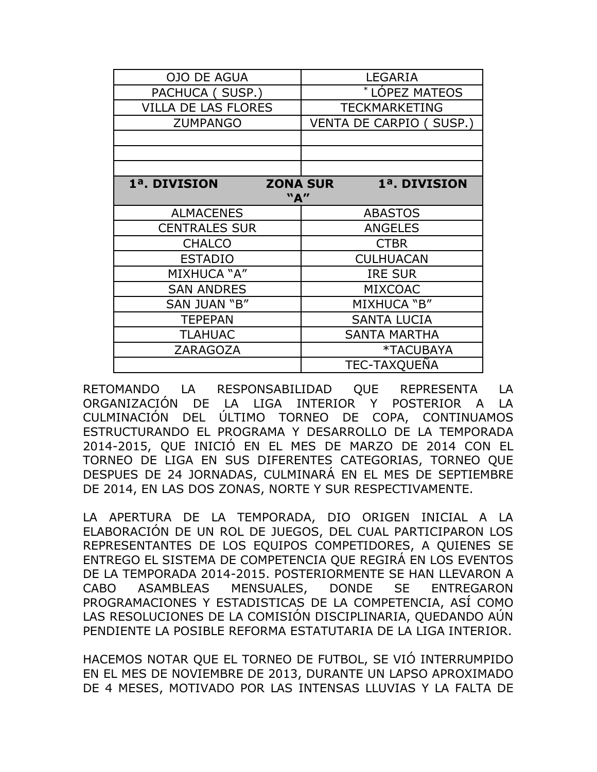| <b>OJO DE AGUA</b>         | <b>LEGARIA</b>                  |  |
|----------------------------|---------------------------------|--|
| PACHUCA (SUSP.)            | <b>LÓPEZ MATEOS</b>             |  |
| <b>VILLA DE LAS FLORES</b> | <b>TECKMARKETING</b>            |  |
| <b>ZUMPANGO</b>            | <b>VENTA DE CARPIO (SUSP.)</b>  |  |
|                            |                                 |  |
|                            |                                 |  |
|                            |                                 |  |
| 1ª. DIVISION               | <b>ZONA SUR</b><br>1ª. DIVISION |  |
|                            | "A"                             |  |
| <b>ALMACENES</b>           | <b>ABASTOS</b>                  |  |
| <b>CENTRALES SUR</b>       | <b>ANGELES</b>                  |  |
| <b>CHALCO</b>              | <b>CTBR</b>                     |  |
| <b>ESTADIO</b>             | <b>CULHUACAN</b>                |  |
| MIXHUCA "A"                | <b>IRE SUR</b>                  |  |
| <b>SAN ANDRES</b>          | <b>MIXCOAC</b>                  |  |
| SAN JUAN "B"               | MIXHUCA "B"                     |  |
| <b>TEPEPAN</b>             | <b>SANTA LUCIA</b>              |  |
| <b>TLAHUAC</b>             | <b>SANTA MARTHA</b>             |  |
| <b>ZARAGOZA</b>            | *TACUBAYA                       |  |
|                            | <b>TEC-TAXQUEÑA</b>             |  |

RETOMANDO LA RESPONSABILIDAD QUE REPRESENTA LA ORGANIZACIÓN DE LA LIGA INTERIOR Y POSTERIOR A LA CULMINACIÓN DEL ÚLTIMO TORNEO DE COPA, CONTINUAMOS ESTRUCTURANDO EL PROGRAMA Y DESARROLLO DE LA TEMPORADA 2014-2015, QUE INICIÓ EN EL MES DE MARZO DE 2014 CON EL TORNEO DE LIGA EN SUS DIFERENTES CATEGORIAS, TORNEO QUE DESPUES DE 24 JORNADAS, CULMINARÁ EN EL MES DE SEPTIEMBRE DE 2014, EN LAS DOS ZONAS, NORTE Y SUR RESPECTIVAMENTE.

LA APERTURA DE LA TEMPORADA, DIO ORIGEN INICIAL A LA ELABORACIÓN DE UN ROL DE JUEGOS, DEL CUAL PARTICIPARON LOS REPRESENTANTES DE LOS EQUIPOS COMPETIDORES, A QUIENES SE ENTREGO EL SISTEMA DE COMPETENCIA QUE REGIRÁ EN LOS EVENTOS DE LA TEMPORADA 2014-2015. POSTERIORMENTE SE HAN LLEVARON A CABO ASAMBLEAS MENSUALES, DONDE SE ENTREGARON PROGRAMACIONES Y ESTADISTICAS DE LA COMPETENCIA, ASÍ COMO LAS RESOLUCIONES DE LA COMISIÓN DISCIPLINARIA, QUEDANDO AÚN PENDIENTE LA POSIBLE REFORMA ESTATUTARIA DE LA LIGA INTERIOR.

HACEMOS NOTAR QUE EL TORNEO DE FUTBOL, SE VIÓ INTERRUMPIDO EN EL MES DE NOVIEMBRE DE 2013, DURANTE UN LAPSO APROXIMADO DE 4 MESES, MOTIVADO POR LAS INTENSAS LLUVIAS Y LA FALTA DE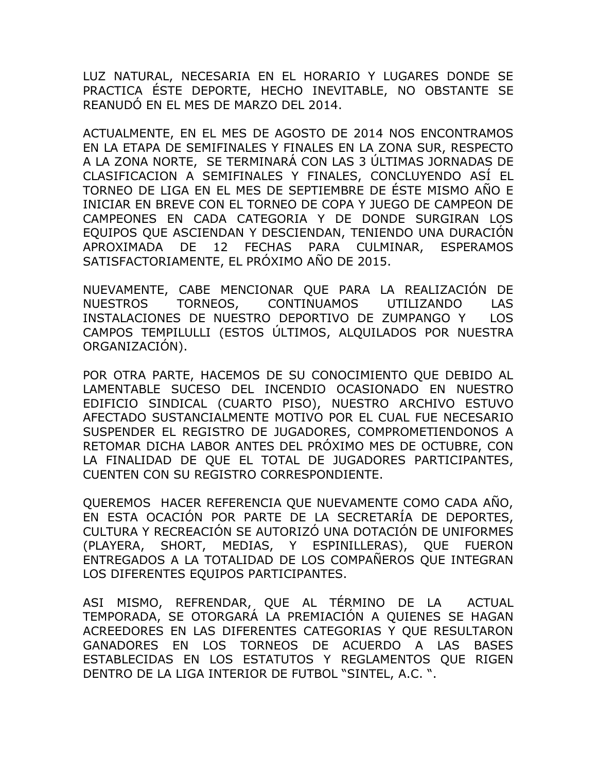LUZ NATURAL, NECESARIA EN EL HORARIO Y LUGARES DONDE SE PRACTICA ÉSTE DEPORTE, HECHO INEVITABLE, NO OBSTANTE SE REANUDÓ EN EL MES DE MARZO DEL 2014.

ACTUALMENTE, EN EL MES DE AGOSTO DE 2014 NOS ENCONTRAMOS EN LA ETAPA DE SEMIFINALES Y FINALES EN LA ZONA SUR, RESPECTO A LA ZONA NORTE, SE TERMINARÁ CON LAS 3 ÚLTIMAS JORNADAS DE CLASIFICACION A SEMIFINALES Y FINALES, CONCLUYENDO ASÍ EL TORNEO DE LIGA EN EL MES DE SEPTIEMBRE DE ÉSTE MISMO AÑO E INICIAR EN BREVE CON EL TORNEO DE COPA Y JUEGO DE CAMPEON DE CAMPEONES EN CADA CATEGORIA Y DE DONDE SURGIRAN LOS EQUIPOS QUE ASCIENDAN Y DESCIENDAN, TENIENDO UNA DURACIÓN APROXIMADA DE 12 FECHAS PARA CULMINAR, ESPERAMOS SATISFACTORIAMENTE, EL PRÓXIMO AÑO DE 2015.

NUEVAMENTE, CABE MENCIONAR QUE PARA LA REALIZACIÓN DE NUESTROS TORNEOS, CONTINUAMOS UTILIZANDO LAS INSTALACIONES DE NUESTRO DEPORTIVO DE ZUMPANGO Y LOS CAMPOS TEMPILULLI (ESTOS ÚLTIMOS, ALQUILADOS POR NUESTRA ORGANIZACIÓN).

POR OTRA PARTE, HACEMOS DE SU CONOCIMIENTO QUE DEBIDO AL LAMENTABLE SUCESO DEL INCENDIO OCASIONADO EN NUESTRO EDIFICIO SINDICAL (CUARTO PISO), NUESTRO ARCHIVO ESTUVO AFECTADO SUSTANCIALMENTE MOTIVO POR EL CUAL FUE NECESARIO SUSPENDER EL REGISTRO DE JUGADORES, COMPROMETIENDONOS A RETOMAR DICHA LABOR ANTES DEL PRÓXIMO MES DE OCTUBRE, CON LA FINALIDAD DE QUE EL TOTAL DE JUGADORES PARTICIPANTES, CUENTEN CON SU REGISTRO CORRESPONDIENTE.

QUEREMOS HACER REFERENCIA QUE NUEVAMENTE COMO CADA AÑO, EN ESTA OCACIÓN POR PARTE DE LA SECRETARÍA DE DEPORTES, CULTURA Y RECREACIÓN SE AUTORIZÓ UNA DOTACIÓN DE UNIFORMES (PLAYERA, SHORT, MEDIAS, Y ESPINILLERAS), QUE FUERON ENTREGADOS A LA TOTALIDAD DE LOS COMPAÑEROS QUE INTEGRAN LOS DIFERENTES EQUIPOS PARTICIPANTES.

ASI MISMO, REFRENDAR, QUE AL TÉRMINO DE LA ACTUAL TEMPORADA, SE OTORGARÁ LA PREMIACIÓN A QUIENES SE HAGAN ACREEDORES EN LAS DIFERENTES CATEGORIAS Y QUE RESULTARON GANADORES EN LOS TORNEOS DE ACUERDO A LAS BASES ESTABLECIDAS EN LOS ESTATUTOS Y REGLAMENTOS QUE RIGEN DENTRO DE LA LIGA INTERIOR DE FUTBOL "SINTEL, A.C. ".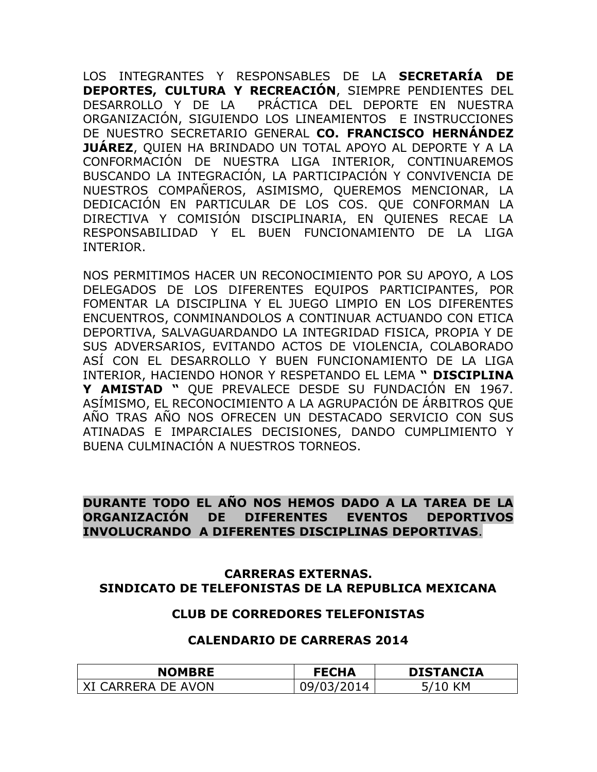LOS INTEGRANTES Y RESPONSABLES DE LA **SECRETARÍA DE DEPORTES, CULTURA Y RECREACIÓN**, SIEMPRE PENDIENTES DEL DESARROLLO Y DE LA PRÁCTICA DEL DEPORTE EN NUESTRA ORGANIZACIÓN, SIGUIENDO LOS LINEAMIENTOS E INSTRUCCIONES DE NUESTRO SECRETARIO GENERAL **CO. FRANCISCO HERNÁNDEZ JUÁREZ**, QUIEN HA BRINDADO UN TOTAL APOYO AL DEPORTE Y A LA CONFORMACIÓN DE NUESTRA LIGA INTERIOR, CONTINUAREMOS BUSCANDO LA INTEGRACIÓN, LA PARTICIPACIÓN Y CONVIVENCIA DE NUESTROS COMPAÑEROS, ASIMISMO, QUEREMOS MENCIONAR, LA DEDICACIÓN EN PARTICULAR DE LOS COS. QUE CONFORMAN LA DIRECTIVA Y COMISIÓN DISCIPLINARIA, EN QUIENES RECAE LA RESPONSABILIDAD Y EL BUEN FUNCIONAMIENTO DE LA LIGA INTERIOR.

NOS PERMITIMOS HACER UN RECONOCIMIENTO POR SU APOYO, A LOS DELEGADOS DE LOS DIFERENTES EQUIPOS PARTICIPANTES, POR FOMENTAR LA DISCIPLINA Y EL JUEGO LIMPIO EN LOS DIFERENTES ENCUENTROS, CONMINANDOLOS A CONTINUAR ACTUANDO CON ETICA DEPORTIVA, SALVAGUARDANDO LA INTEGRIDAD FISICA, PROPIA Y DE SUS ADVERSARIOS, EVITANDO ACTOS DE VIOLENCIA, COLABORADO ASÍ CON EL DESARROLLO Y BUEN FUNCIONAMIENTO DE LA LIGA INTERIOR, HACIENDO HONOR Y RESPETANDO EL LEMA **" DISCIPLINA Y AMISTAD "** QUE PREVALECE DESDE SU FUNDACIÓN EN 1967. ASÍMISMO, EL RECONOCIMIENTO A LA AGRUPACIÓN DE ÁRBITROS QUE AÑO TRAS AÑO NOS OFRECEN UN DESTACADO SERVICIO CON SUS ATINADAS E IMPARCIALES DECISIONES, DANDO CUMPLIMIENTO Y BUENA CULMINACIÓN A NUESTROS TORNEOS.

### **DURANTE TODO EL AÑO NOS HEMOS DADO A LA TAREA DE LA ORGANIZACIÓN DE DIFERENTES EVENTOS DEPORTIVOS INVOLUCRANDO A DIFERENTES DISCIPLINAS DEPORTIVAS**.

### **CARRERAS EXTERNAS. SINDICATO DE TELEFONISTAS DE LA REPUBLICA MEXICANA**

### **CLUB DE CORREDORES TELEFONISTAS**

#### **CALENDARIO DE CARRERAS 2014**

| <b>NOMBRE</b>     | <b>FECHA</b> | <b>DISTANCIA</b> |
|-------------------|--------------|------------------|
| I CARRERA DE AVON |              | ίM.              |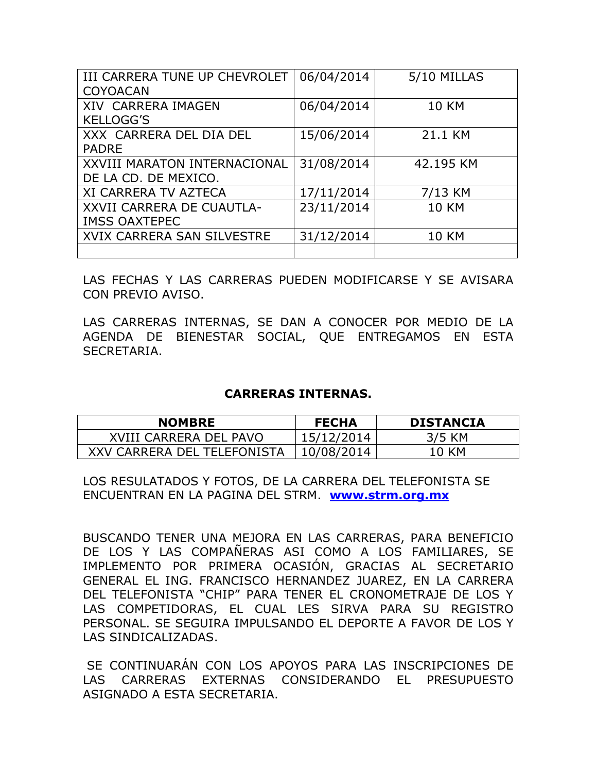| III CARRERA TUNE UP CHEVROLET | 06/04/2014 | 5/10 MILLAS  |
|-------------------------------|------------|--------------|
| <b>COYOACAN</b>               |            |              |
| <b>XIV CARRERA IMAGEN</b>     | 06/04/2014 | <b>10 KM</b> |
| <b>KELLOGG'S</b>              |            |              |
| XXX CARRERA DEL DIA DEL       | 15/06/2014 | 21.1 KM      |
| <b>PADRE</b>                  |            |              |
| XXVIII MARATON INTERNACIONAL  | 31/08/2014 | 42.195 KM    |
| DE LA CD. DE MEXICO.          |            |              |
| <b>XI CARRERA TV AZTECA</b>   | 17/11/2014 | 7/13 KM      |
| XXVII CARRERA DE CUAUTLA-     | 23/11/2014 | <b>10 KM</b> |
| <b>IMSS OAXTEPEC</b>          |            |              |
| XVIX CARRERA SAN SILVESTRE    | 31/12/2014 | <b>10 KM</b> |
|                               |            |              |

LAS FECHAS Y LAS CARRERAS PUEDEN MODIFICARSE Y SE AVISARA CON PREVIO AVISO.

LAS CARRERAS INTERNAS, SE DAN A CONOCER POR MEDIO DE LA AGENDA DE BIENESTAR SOCIAL, QUE ENTREGAMOS EN ESTA SECRETARIA.

#### **CARRERAS INTERNAS.**

| <b>NOMBRE</b>               | <b>FECHA</b> | <b>DISTANCIA</b> |
|-----------------------------|--------------|------------------|
| XVIII CARRERA DEL PAVO      | 15/12/2014   | 3/5 KM           |
| XXV CARRERA DEL TELEFONISTA | 10/08/2014   | 10 KM            |

LOS RESULATADOS Y FOTOS, DE LA CARRERA DEL TELEFONISTA SE ENCUENTRAN EN LA PAGINA DEL STRM. **[www.strm.org.mx](http://www.strm.org.mx/)**

BUSCANDO TENER UNA MEJORA EN LAS CARRERAS, PARA BENEFICIO DE LOS Y LAS COMPAÑERAS ASI COMO A LOS FAMILIARES, SE IMPLEMENTO POR PRIMERA OCASIÓN, GRACIAS AL SECRETARIO GENERAL EL ING. FRANCISCO HERNANDEZ JUAREZ, EN LA CARRERA DEL TELEFONISTA "CHIP" PARA TENER EL CRONOMETRAJE DE LOS Y LAS COMPETIDORAS, EL CUAL LES SIRVA PARA SU REGISTRO PERSONAL. SE SEGUIRA IMPULSANDO EL DEPORTE A FAVOR DE LOS Y LAS SINDICALIZADAS.

SE CONTINUARÁN CON LOS APOYOS PARA LAS INSCRIPCIONES DE LAS CARRERAS EXTERNAS CONSIDERANDO EL PRESUPUESTO ASIGNADO A ESTA SECRETARIA.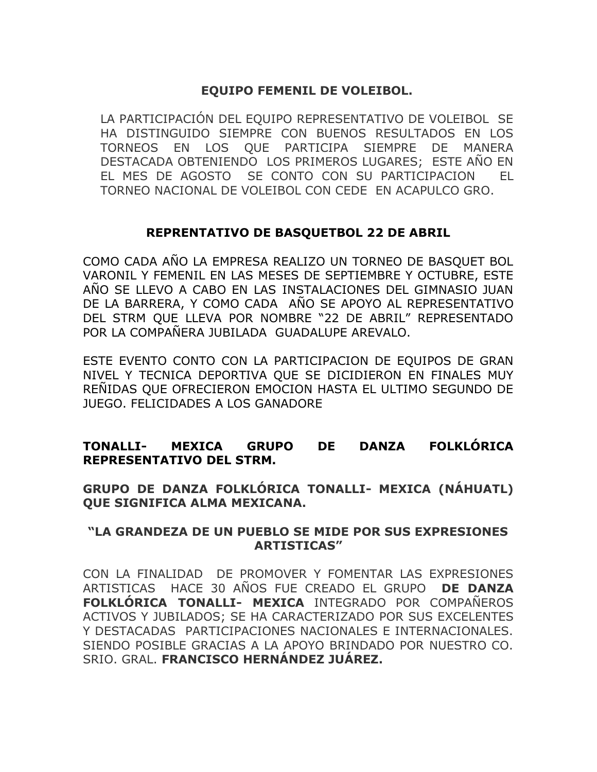### **EQUIPO FEMENIL DE VOLEIBOL.**

LA PARTICIPACIÓN DEL EQUIPO REPRESENTATIVO DE VOLEIBOL SE HA DISTINGUIDO SIEMPRE CON BUENOS RESULTADOS EN LOS TORNEOS EN LOS QUE PARTICIPA SIEMPRE DE MANERA DESTACADA OBTENIENDO LOS PRIMEROS LUGARES; ESTE AÑO EN EL MES DE AGOSTO SE CONTO CON SU PARTICIPACION EL TORNEO NACIONAL DE VOLEIBOL CON CEDE EN ACAPULCO GRO.

### **REPRENTATIVO DE BASQUETBOL 22 DE ABRIL**

COMO CADA AÑO LA EMPRESA REALIZO UN TORNEO DE BASQUET BOL VARONIL Y FEMENIL EN LAS MESES DE SEPTIEMBRE Y OCTUBRE, ESTE AÑO SE LLEVO A CABO EN LAS INSTALACIONES DEL GIMNASIO JUAN DE LA BARRERA, Y COMO CADA AÑO SE APOYO AL REPRESENTATIVO DEL STRM QUE LLEVA POR NOMBRE "22 DE ABRIL" REPRESENTADO POR LA COMPAÑERA JUBILADA GUADALUPE AREVALO.

ESTE EVENTO CONTO CON LA PARTICIPACION DE EQUIPOS DE GRAN NIVEL Y TECNICA DEPORTIVA QUE SE DICIDIERON EN FINALES MUY REÑIDAS QUE OFRECIERON EMOCION HASTA EL ULTIMO SEGUNDO DE JUEGO. FELICIDADES A LOS GANADORE

### **TONALLI- MEXICA GRUPO DE DANZA FOLKLÓRICA REPRESENTATIVO DEL STRM.**

**GRUPO DE DANZA FOLKLÓRICA TONALLI- MEXICA (NÁHUATL) QUE SIGNIFICA ALMA MEXICANA.**

### **"LA GRANDEZA DE UN PUEBLO SE MIDE POR SUS EXPRESIONES ARTISTICAS"**

CON LA FINALIDAD DE PROMOVER Y FOMENTAR LAS EXPRESIONES ARTISTICAS HACE 30 AÑOS FUE CREADO EL GRUPO **DE DANZA FOLKLÓRICA TONALLI- MEXICA** INTEGRADO POR COMPAÑEROS ACTIVOS Y JUBILADOS; SE HA CARACTERIZADO POR SUS EXCELENTES Y DESTACADAS PARTICIPACIONES NACIONALES E INTERNACIONALES. SIENDO POSIBLE GRACIAS A LA APOYO BRINDADO POR NUESTRO CO. SRIO. GRAL. **FRANCISCO HERNÁNDEZ JUÁREZ.**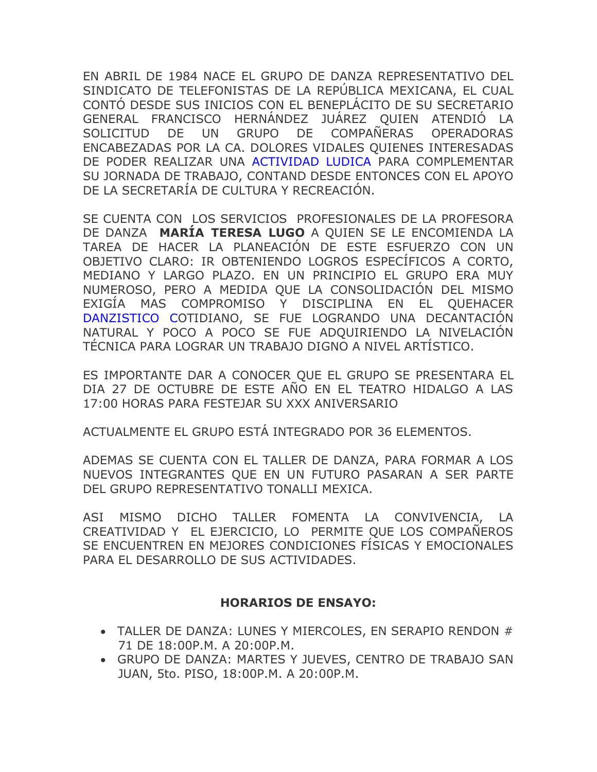EN ABRIL DE 1984 NACE EL GRUPO DE DANZA REPRESENTATIVO DEL SINDICATO DE TELEFONISTAS DE LA REPÚBLICA MEXICANA, EL CUAL CONTÓ DESDE SUS INICIOS CON EL BENEPLÁCITO DE SU SECRETARIO GENERAL FRANCISCO HERNÁNDEZ JUÁREZ QUIEN ATENDIÓ LA SOLICITUD DE UN GRUPO DE COMPAÑERAS OPERADORAS ENCABEZADAS POR LA CA. DOLORES VIDALES QUIENES INTERESADAS DE PODER REALIZAR UNA ACTIVIDAD LUDICA PARA COMPLEMENTAR SU JORNADA DE TRABAJO, CONTAND DESDE ENTONCES CON EL APOYO DE LA SECRETARÍA DE CULTURA Y RECREACIÓN.

SE CUENTA CON LOS SERVICIOS PROFESIONALES DE LA PROFESORA DE DANZA **MARÍA TERESA LUGO** A QUIEN SE LE ENCOMIENDA LA TAREA DE HACER LA PLANEACIÓN DE ESTE ESFUERZO CON UN OBJETIVO CLARO: IR OBTENIENDO LOGROS ESPECÍFICOS A CORTO, MEDIANO Y LARGO PLAZO. EN UN PRINCIPIO EL GRUPO ERA MUY NUMEROSO, PERO A MEDIDA QUE LA CONSOLIDACIÓN DEL MISMO EXIGÍA MAS COMPROMISO Y DISCIPLINA EN EL QUEHACER DANZISTICO COTIDIANO, SE FUE LOGRANDO UNA DECANTACIÓN NATURAL Y POCO A POCO SE FUE ADQUIRIENDO LA NIVELACIÓN TÉCNICA PARA LOGRAR UN TRABAJO DIGNO A NIVEL ARTÍSTICO.

ES IMPORTANTE DAR A CONOCER QUE EL GRUPO SE PRESENTARA EL DIA 27 DE OCTUBRE DE ESTE AÑO EN EL TEATRO HIDALGO A LAS 17:00 HORAS PARA FESTEJAR SU XXX ANIVERSARIO

ACTUALMENTE EL GRUPO ESTÁ INTEGRADO POR 36 ELEMENTOS.

ADEMAS SE CUENTA CON EL TALLER DE DANZA, PARA FORMAR A LOS NUEVOS INTEGRANTES QUE EN UN FUTURO PASARAN A SER PARTE DEL GRUPO REPRESENTATIVO TONALLI MEXICA.

ASI MISMO DICHO TALLER FOMENTA LA CONVIVENCIA, LA CREATIVIDAD Y EL EJERCICIO, LO PERMITE QUE LOS COMPAÑEROS SE ENCUENTREN EN MEJORES CONDICIONES FÍSICAS Y EMOCIONALES PARA EL DESARROLLO DE SUS ACTIVIDADES.

### **HORARIOS DE ENSAYO:**

- TALLER DE DANZA: LUNES Y MIERCOLES, EN SERAPIO RENDON # 71 DE 18:00P.M. A 20:00P.M.
- GRUPO DE DANZA: MARTES Y JUEVES, CENTRO DE TRABAJO SAN JUAN, 5to. PISO, 18:00P.M. A 20:00P.M.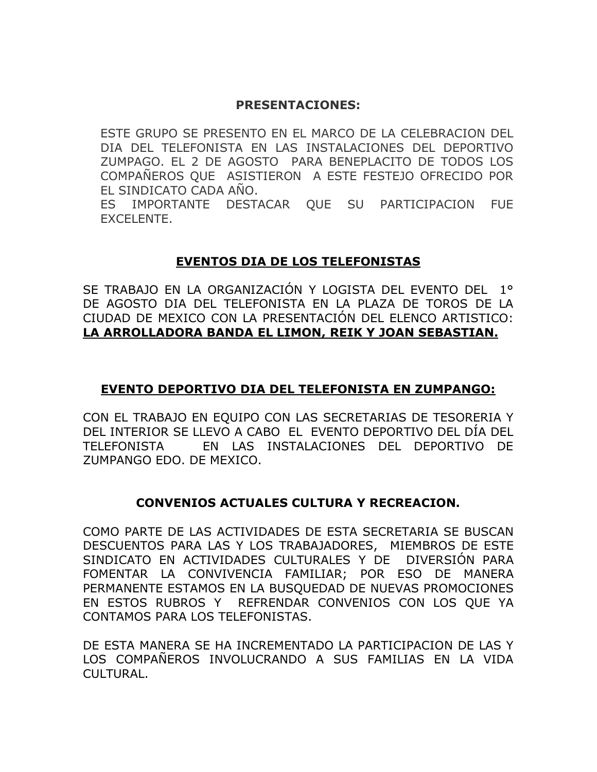### **PRESENTACIONES:**

ESTE GRUPO SE PRESENTO EN EL MARCO DE LA CELEBRACION DEL DIA DEL TELEFONISTA EN LAS INSTALACIONES DEL DEPORTIVO ZUMPAGO. EL 2 DE AGOSTO PARA BENEPLACITO DE TODOS LOS COMPAÑEROS QUE ASISTIERON A ESTE FESTEJO OFRECIDO POR EL SINDICATO CADA AÑO.

ES IMPORTANTE DESTACAR QUE SU PARTICIPACION FUE EXCELENTE.

### **EVENTOS DIA DE LOS TELEFONISTAS**

SE TRABAJO EN LA ORGANIZACIÓN Y LOGISTA DEL EVENTO DEL 1° DE AGOSTO DIA DEL TELEFONISTA EN LA PLAZA DE TOROS DE LA CIUDAD DE MEXICO CON LA PRESENTACIÓN DEL ELENCO ARTISTICO: **LA ARROLLADORA BANDA EL LIMON, REIK Y JOAN SEBASTIAN.**

### **EVENTO DEPORTIVO DIA DEL TELEFONISTA EN ZUMPANGO:**

CON EL TRABAJO EN EQUIPO CON LAS SECRETARIAS DE TESORERIA Y DEL INTERIOR SE LLEVO A CABO EL EVENTO DEPORTIVO DEL DÍA DEL TELEFONISTA EN LAS INSTALACIONES DEL DEPORTIVO DE ZUMPANGO EDO. DE MEXICO.

### **CONVENIOS ACTUALES CULTURA Y RECREACION.**

COMO PARTE DE LAS ACTIVIDADES DE ESTA SECRETARIA SE BUSCAN DESCUENTOS PARA LAS Y LOS TRABAJADORES, MIEMBROS DE ESTE SINDICATO EN ACTIVIDADES CULTURALES Y DE DIVERSIÓN PARA FOMENTAR LA CONVIVENCIA FAMILIAR; POR ESO DE MANERA PERMANENTE ESTAMOS EN LA BUSQUEDAD DE NUEVAS PROMOCIONES EN ESTOS RUBROS Y REFRENDAR CONVENIOS CON LOS QUE YA CONTAMOS PARA LOS TELEFONISTAS.

DE ESTA MANERA SE HA INCREMENTADO LA PARTICIPACION DE LAS Y LOS COMPAÑEROS INVOLUCRANDO A SUS FAMILIAS EN LA VIDA CULTURAL.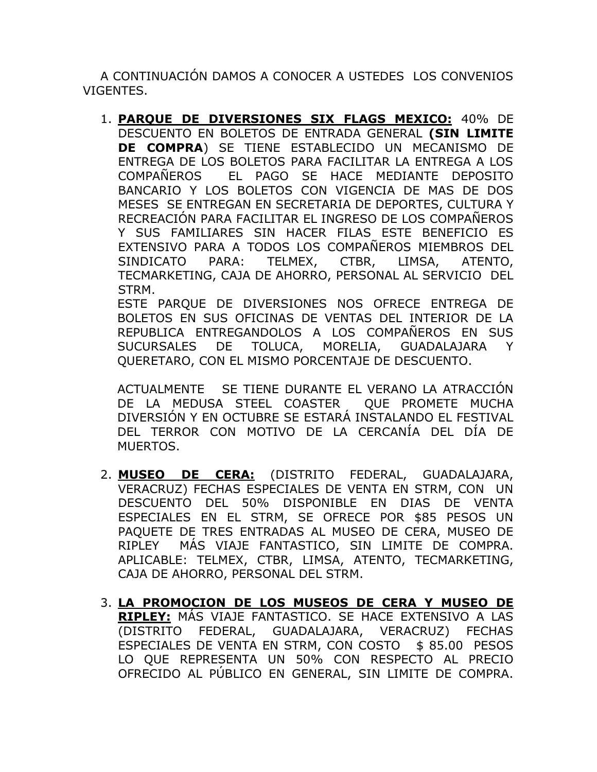A CONTINUACIÓN DAMOS A CONOCER A USTEDES LOS CONVENIOS VIGENTES.

1. **PARQUE DE DIVERSIONES SIX FLAGS MEXICO:** 40% DE DESCUENTO EN BOLETOS DE ENTRADA GENERAL **(SIN LIMITE DE COMPRA**) SE TIENE ESTABLECIDO UN MECANISMO DE ENTREGA DE LOS BOLETOS PARA FACILITAR LA ENTREGA A LOS COMPAÑEROS EL PAGO SE HACE MEDIANTE DEPOSITO BANCARIO Y LOS BOLETOS CON VIGENCIA DE MAS DE DOS MESES SE ENTREGAN EN SECRETARIA DE DEPORTES, CULTURA Y RECREACIÓN PARA FACILITAR EL INGRESO DE LOS COMPAÑEROS Y SUS FAMILIARES SIN HACER FILAS ESTE BENEFICIO ES EXTENSIVO PARA A TODOS LOS COMPAÑEROS MIEMBROS DEL SINDICATO PARA: TELMEX, CTBR, LIMSA, ATENTO, TECMARKETING, CAJA DE AHORRO, PERSONAL AL SERVICIO DEL STRM.

ESTE PARQUE DE DIVERSIONES NOS OFRECE ENTREGA DE BOLETOS EN SUS OFICINAS DE VENTAS DEL INTERIOR DE LA REPUBLICA ENTREGANDOLOS A LOS COMPAÑEROS EN SUS SUCURSALES DE TOLUCA, MORELIA, GUADALAJARA Y QUERETARO, CON EL MISMO PORCENTAJE DE DESCUENTO.

ACTUALMENTE SE TIENE DURANTE EL VERANO LA ATRACCIÓN DE LA MEDUSA STEEL COASTER QUE PROMETE MUCHA DIVERSIÓN Y EN OCTUBRE SE ESTARÁ INSTALANDO EL FESTIVAL DEL TERROR CON MOTIVO DE LA CERCANÍA DEL DÍA DE MUERTOS.

- 2. **MUSEO DE CERA:** (DISTRITO FEDERAL, GUADALAJARA, VERACRUZ) FECHAS ESPECIALES DE VENTA EN STRM, CON UN DESCUENTO DEL 50% DISPONIBLE EN DIAS DE VENTA ESPECIALES EN EL STRM, SE OFRECE POR \$85 PESOS UN PAQUETE DE TRES ENTRADAS AL MUSEO DE CERA, MUSEO DE RIPLEY MÁS VIAJE FANTASTICO, SIN LIMITE DE COMPRA. APLICABLE: TELMEX, CTBR, LIMSA, ATENTO, TECMARKETING, CAJA DE AHORRO, PERSONAL DEL STRM.
- 3. **LA PROMOCION DE LOS MUSEOS DE CERA Y MUSEO DE RIPLEY:** MÁS VIAJE FANTASTICO. SE HACE EXTENSIVO A LAS (DISTRITO FEDERAL, GUADALAJARA, VERACRUZ) FECHAS ESPECIALES DE VENTA EN STRM, CON COSTO \$ 85.00 PESOS LO QUE REPRESENTA UN 50% CON RESPECTO AL PRECIO OFRECIDO AL PÚBLICO EN GENERAL, SIN LIMITE DE COMPRA.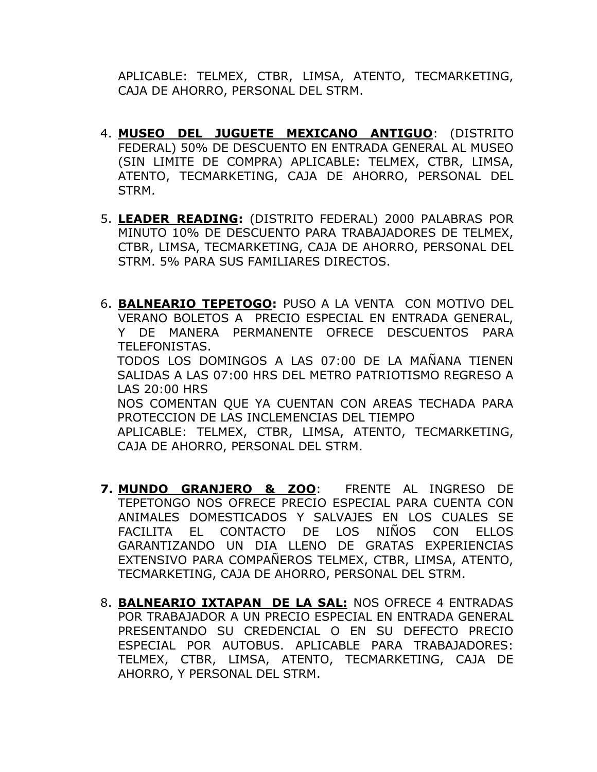APLICABLE: TELMEX, CTBR, LIMSA, ATENTO, TECMARKETING, CAJA DE AHORRO, PERSONAL DEL STRM.

- 4. **MUSEO DEL JUGUETE MEXICANO ANTIGUO**: (DISTRITO FEDERAL) 50% DE DESCUENTO EN ENTRADA GENERAL AL MUSEO (SIN LIMITE DE COMPRA) APLICABLE: TELMEX, CTBR, LIMSA, ATENTO, TECMARKETING, CAJA DE AHORRO, PERSONAL DEL STRM.
- 5. **LEADER READING:** (DISTRITO FEDERAL) 2000 PALABRAS POR MINUTO 10% DE DESCUENTO PARA TRABAJADORES DE TELMEX, CTBR, LIMSA, TECMARKETING, CAJA DE AHORRO, PERSONAL DEL STRM. 5% PARA SUS FAMILIARES DIRECTOS.
- 6. **BALNEARIO TEPETOGO:** PUSO A LA VENTA CON MOTIVO DEL VERANO BOLETOS A PRECIO ESPECIAL EN ENTRADA GENERAL, Y DE MANERA PERMANENTE OFRECE DESCUENTOS PARA TELEFONISTAS. TODOS LOS DOMINGOS A LAS 07:00 DE LA MAÑANA TIENEN SALIDAS A LAS 07:00 HRS DEL METRO PATRIOTISMO REGRESO A LAS 20:00 HRS NOS COMENTAN QUE YA CUENTAN CON AREAS TECHADA PARA PROTECCION DE LAS INCLEMENCIAS DEL TIEMPO APLICABLE: TELMEX, CTBR, LIMSA, ATENTO, TECMARKETING, CAJA DE AHORRO, PERSONAL DEL STRM.
- **7. MUNDO GRANJERO & ZOO**: FRENTE AL INGRESO DE TEPETONGO NOS OFRECE PRECIO ESPECIAL PARA CUENTA CON ANIMALES DOMESTICADOS Y SALVAJES EN LOS CUALES SE FACILITA EL CONTACTO DE LOS NIÑOS CON ELLOS GARANTIZANDO UN DIA LLENO DE GRATAS EXPERIENCIAS EXTENSIVO PARA COMPAÑEROS TELMEX, CTBR, LIMSA, ATENTO, TECMARKETING, CAJA DE AHORRO, PERSONAL DEL STRM.
- 8. **BALNEARIO IXTAPAN DE LA SAL:** NOS OFRECE 4 ENTRADAS POR TRABAJADOR A UN PRECIO ESPECIAL EN ENTRADA GENERAL PRESENTANDO SU CREDENCIAL O EN SU DEFECTO PRECIO ESPECIAL POR AUTOBUS. APLICABLE PARA TRABAJADORES: TELMEX, CTBR, LIMSA, ATENTO, TECMARKETING, CAJA DE AHORRO, Y PERSONAL DEL STRM.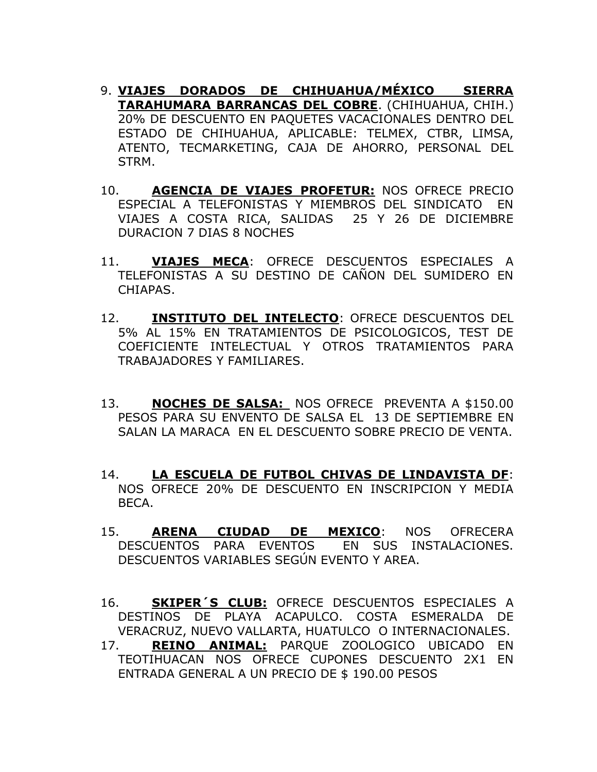- 9. **VIAJES DORADOS DE CHIHUAHUA/MÉXICO SIERRA TARAHUMARA BARRANCAS DEL COBRE**. (CHIHUAHUA, CHIH.) 20% DE DESCUENTO EN PAQUETES VACACIONALES DENTRO DEL ESTADO DE CHIHUAHUA, APLICABLE: TELMEX, CTBR, LIMSA, ATENTO, TECMARKETING, CAJA DE AHORRO, PERSONAL DEL STRM.
- 10. **AGENCIA DE VIAJES PROFETUR:** NOS OFRECE PRECIO ESPECIAL A TELEFONISTAS Y MIEMBROS DEL SINDICATO EN VIAJES A COSTA RICA, SALIDAS 25 Y 26 DE DICIEMBRE DURACION 7 DIAS 8 NOCHES
- 11. **VIAJES MECA**: OFRECE DESCUENTOS ESPECIALES A TELEFONISTAS A SU DESTINO DE CAÑON DEL SUMIDERO EN CHIAPAS.
- 12. **INSTITUTO DEL INTELECTO**: OFRECE DESCUENTOS DEL 5% AL 15% EN TRATAMIENTOS DE PSICOLOGICOS, TEST DE COEFICIENTE INTELECTUAL Y OTROS TRATAMIENTOS PARA TRABAJADORES Y FAMILIARES.
- 13. **NOCHES DE SALSA:** NOS OFRECE PREVENTA A \$150.00 PESOS PARA SU ENVENTO DE SALSA EL 13 DE SEPTIEMBRE EN SALAN LA MARACA EN EL DESCUENTO SOBRE PRECIO DE VENTA.
- 14. **LA ESCUELA DE FUTBOL CHIVAS DE LINDAVISTA DF**: NOS OFRECE 20% DE DESCUENTO EN INSCRIPCION Y MEDIA BECA.
- 15. **ARENA CIUDAD DE MEXICO**: NOS OFRECERA DESCUENTOS PARA EVENTOS EN SUS INSTALACIONES. DESCUENTOS VARIABLES SEGÚN EVENTO Y AREA.
- 16. **SKIPER´S CLUB:** OFRECE DESCUENTOS ESPECIALES A DESTINOS DE PLAYA ACAPULCO. COSTA ESMERALDA DE VERACRUZ, NUEVO VALLARTA, HUATULCO O INTERNACIONALES.
- 17. **REINO ANIMAL:** PARQUE ZOOLOGICO UBICADO EN TEOTIHUACAN NOS OFRECE CUPONES DESCUENTO 2X1 EN ENTRADA GENERAL A UN PRECIO DE \$ 190.00 PESOS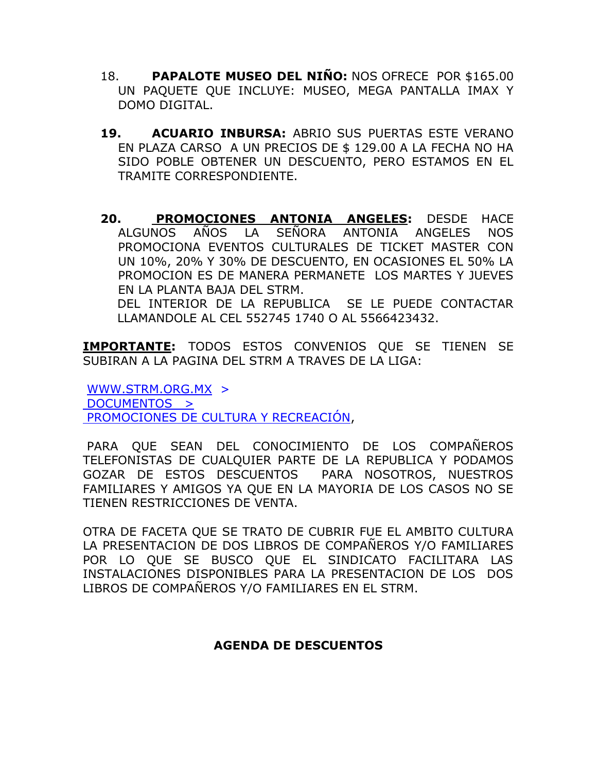- 18. **PAPALOTE MUSEO DEL NIÑO:** NOS OFRECE POR \$165.00 UN PAQUETE QUE INCLUYE: MUSEO, MEGA PANTALLA IMAX Y DOMO DIGITAL.
- **19. ACUARIO INBURSA:** ABRIO SUS PUERTAS ESTE VERANO EN PLAZA CARSO A UN PRECIOS DE \$ 129.00 A LA FECHA NO HA SIDO POBLE OBTENER UN DESCUENTO, PERO ESTAMOS EN EL TRAMITE CORRESPONDIENTE.
- **20. PROMOCIONES ANTONIA ANGELES:** DESDE HACE ALGUNOS AÑOS LA SEÑORA ANTONIA ANGELES NOS PROMOCIONA EVENTOS CULTURALES DE TICKET MASTER CON UN 10%, 20% Y 30% DE DESCUENTO, EN OCASIONES EL 50% LA PROMOCION ES DE MANERA PERMANETE LOS MARTES Y JUEVES EN LA PLANTA BAJA DEL STRM.

DEL INTERIOR DE LA REPUBLICA SE LE PUEDE CONTACTAR LLAMANDOLE AL CEL 552745 1740 O AL 5566423432.

**IMPORTANTE:** TODOS ESTOS CONVENIOS QUE SE TIENEN SE SUBIRAN A LA PAGINA DEL STRM A TRAVES DE LA LIGA:

[WWW.STRM.ORG.MX](http://www.strm.org.mx/) > DOCUMENTOS > PROMOCIONES DE CULTURA Y RECREACIÓN,

PARA QUE SEAN DEL CONOCIMIENTO DE LOS COMPAÑEROS TELEFONISTAS DE CUALQUIER PARTE DE LA REPUBLICA Y PODAMOS GOZAR DE ESTOS DESCUENTOS PARA NOSOTROS, NUESTROS FAMILIARES Y AMIGOS YA QUE EN LA MAYORIA DE LOS CASOS NO SE TIENEN RESTRICCIONES DE VENTA.

OTRA DE FACETA QUE SE TRATO DE CUBRIR FUE EL AMBITO CULTURA LA PRESENTACION DE DOS LIBROS DE COMPAÑEROS Y/O FAMILIARES POR LO QUE SE BUSCO QUE EL SINDICATO FACILITARA LAS INSTALACIONES DISPONIBLES PARA LA PRESENTACION DE LOS DOS LIBROS DE COMPAÑEROS Y/O FAMILIARES EN EL STRM.

### **AGENDA DE DESCUENTOS**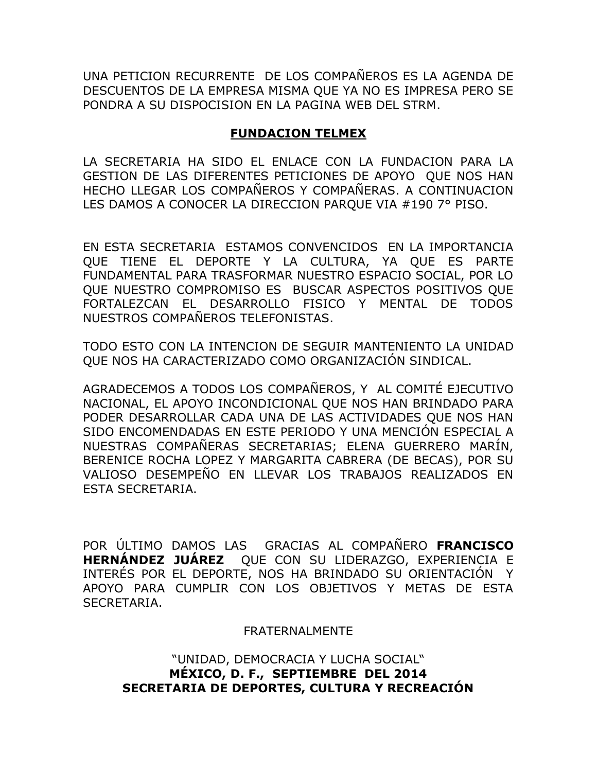UNA PETICION RECURRENTE DE LOS COMPAÑEROS ES LA AGENDA DE DESCUENTOS DE LA EMPRESA MISMA QUE YA NO ES IMPRESA PERO SE PONDRA A SU DISPOCISION EN LA PAGINA WEB DEL STRM.

### **FUNDACION TELMEX**

LA SECRETARIA HA SIDO EL ENLACE CON LA FUNDACION PARA LA GESTION DE LAS DIFERENTES PETICIONES DE APOYO QUE NOS HAN HECHO LLEGAR LOS COMPAÑEROS Y COMPAÑERAS. A CONTINUACION LES DAMOS A CONOCER LA DIRECCION PARQUE VIA #190 7° PISO.

EN ESTA SECRETARIA ESTAMOS CONVENCIDOS EN LA IMPORTANCIA QUE TIENE EL DEPORTE Y LA CULTURA, YA QUE ES PARTE FUNDAMENTAL PARA TRASFORMAR NUESTRO ESPACIO SOCIAL, POR LO QUE NUESTRO COMPROMISO ES BUSCAR ASPECTOS POSITIVOS QUE FORTALEZCAN EL DESARROLLO FISICO Y MENTAL DE TODOS NUESTROS COMPAÑEROS TELEFONISTAS.

TODO ESTO CON LA INTENCION DE SEGUIR MANTENIENTO LA UNIDAD QUE NOS HA CARACTERIZADO COMO ORGANIZACIÓN SINDICAL.

AGRADECEMOS A TODOS LOS COMPAÑEROS, Y AL COMITÉ EJECUTIVO NACIONAL, EL APOYO INCONDICIONAL QUE NOS HAN BRINDADO PARA PODER DESARROLLAR CADA UNA DE LAS ACTIVIDADES QUE NOS HAN SIDO ENCOMENDADAS EN ESTE PERIODO Y UNA MENCIÓN ESPECIAL A NUESTRAS COMPAÑERAS SECRETARIAS; ELENA GUERRERO MARÍN, BERENICE ROCHA LOPEZ Y MARGARITA CABRERA (DE BECAS), POR SU VALIOSO DESEMPEÑO EN LLEVAR LOS TRABAJOS REALIZADOS EN ESTA SECRETARIA.

POR ÚLTIMO DAMOS LAS GRACIAS AL COMPAÑERO **FRANCISCO HERNÁNDEZ JUÁREZ** QUE CON SU LIDERAZGO, EXPERIENCIA E INTERÉS POR EL DEPORTE, NOS HA BRINDADO SU ORIENTACIÓN Y APOYO PARA CUMPLIR CON LOS OBJETIVOS Y METAS DE ESTA SECRETARIA.

#### FRATERNALMENTE

"UNIDAD, DEMOCRACIA Y LUCHA SOCIAL" **MÉXICO, D. F., SEPTIEMBRE DEL 2014 SECRETARIA DE DEPORTES, CULTURA Y RECREACIÓN**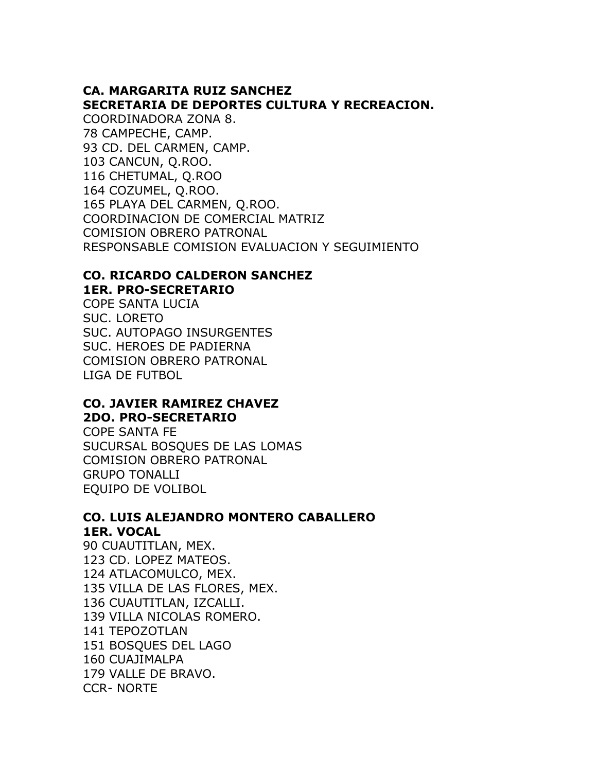### **CA. MARGARITA RUIZ SANCHEZ SECRETARIA DE DEPORTES CULTURA Y RECREACION.**

COORDINADORA ZONA 8. 78 CAMPECHE, CAMP. 93 CD. DEL CARMEN, CAMP. 103 CANCUN, Q.ROO. 116 CHETUMAL, Q.ROO 164 COZUMEL, Q.ROO. 165 PLAYA DEL CARMEN, Q.ROO. COORDINACION DE COMERCIAL MATRIZ COMISION OBRERO PATRONAL RESPONSABLE COMISION EVALUACION Y SEGUIMIENTO

# **CO. RICARDO CALDERON SANCHEZ 1ER. PRO-SECRETARIO**

COPE SANTA LUCIA SUC. LORETO SUC. AUTOPAGO INSURGENTES SUC. HEROES DE PADIERNA COMISION OBRERO PATRONAL LIGA DE FUTBOL

### **CO. JAVIER RAMIREZ CHAVEZ 2DO. PRO-SECRETARIO**

COPE SANTA FE SUCURSAL BOSQUES DE LAS LOMAS COMISION OBRERO PATRONAL GRUPO TONALLI EQUIPO DE VOLIBOL

# **CO. LUIS ALEJANDRO MONTERO CABALLERO 1ER. VOCAL**

90 CUAUTITLAN, MEX. 123 CD. LOPEZ MATEOS. 124 ATLACOMULCO, MEX. 135 VILLA DE LAS FLORES, MEX. 136 CUAUTITLAN, IZCALLI. 139 VILLA NICOLAS ROMERO. 141 TEPOZOTLAN 151 BOSQUES DEL LAGO 160 CUAJIMALPA 179 VALLE DE BRAVO. CCR- NORTE